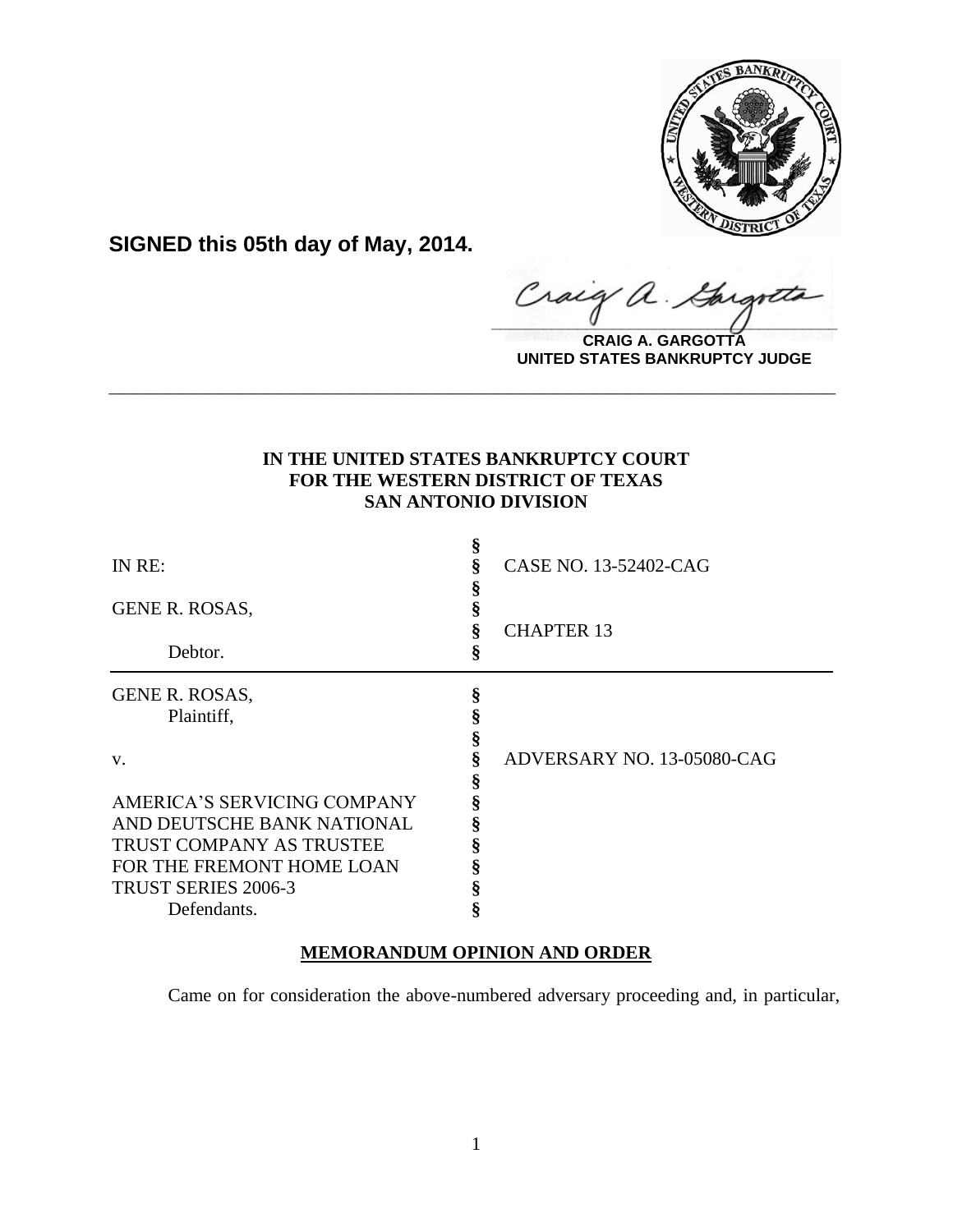

**SIGNED this 05th day of May, 2014.**

Craig a. Gargote

**CRAIG A. GARGOTTA UNITED STATES BANKRUPTCY JUDGE**

## **IN THE UNITED STATES BANKRUPTCY COURT FOR THE WESTERN DISTRICT OF TEXAS SAN ANTONIO DIVISION**

**\_\_\_\_\_\_\_\_\_\_\_\_\_\_\_\_\_\_\_\_\_\_\_\_\_\_\_\_\_\_\_\_\_\_\_\_\_\_\_\_\_\_\_\_\_\_\_\_\_\_\_\_\_\_\_\_\_\_\_\_**

| IN RE:                          | Š | CASE NO. 13-52402-CAG      |
|---------------------------------|---|----------------------------|
| <b>GENE R. ROSAS,</b>           |   |                            |
| Debtor.                         | § | <b>CHAPTER 13</b>          |
|                                 |   |                            |
| GENE R. ROSAS,                  | ş |                            |
| Plaintiff,                      |   |                            |
|                                 |   |                            |
| V.                              |   | ADVERSARY NO. 13-05080-CAG |
|                                 |   |                            |
| AMERICA'S SERVICING COMPANY     |   |                            |
| AND DEUTSCHE BANK NATIONAL      |   |                            |
| <b>TRUST COMPANY AS TRUSTEE</b> |   |                            |
| FOR THE FREMONT HOME LOAN       |   |                            |
| <b>TRUST SERIES 2006-3</b>      |   |                            |
| Defendants.                     |   |                            |

# **MEMORANDUM OPINION AND ORDER**

Came on for consideration the above-numbered adversary proceeding and, in particular,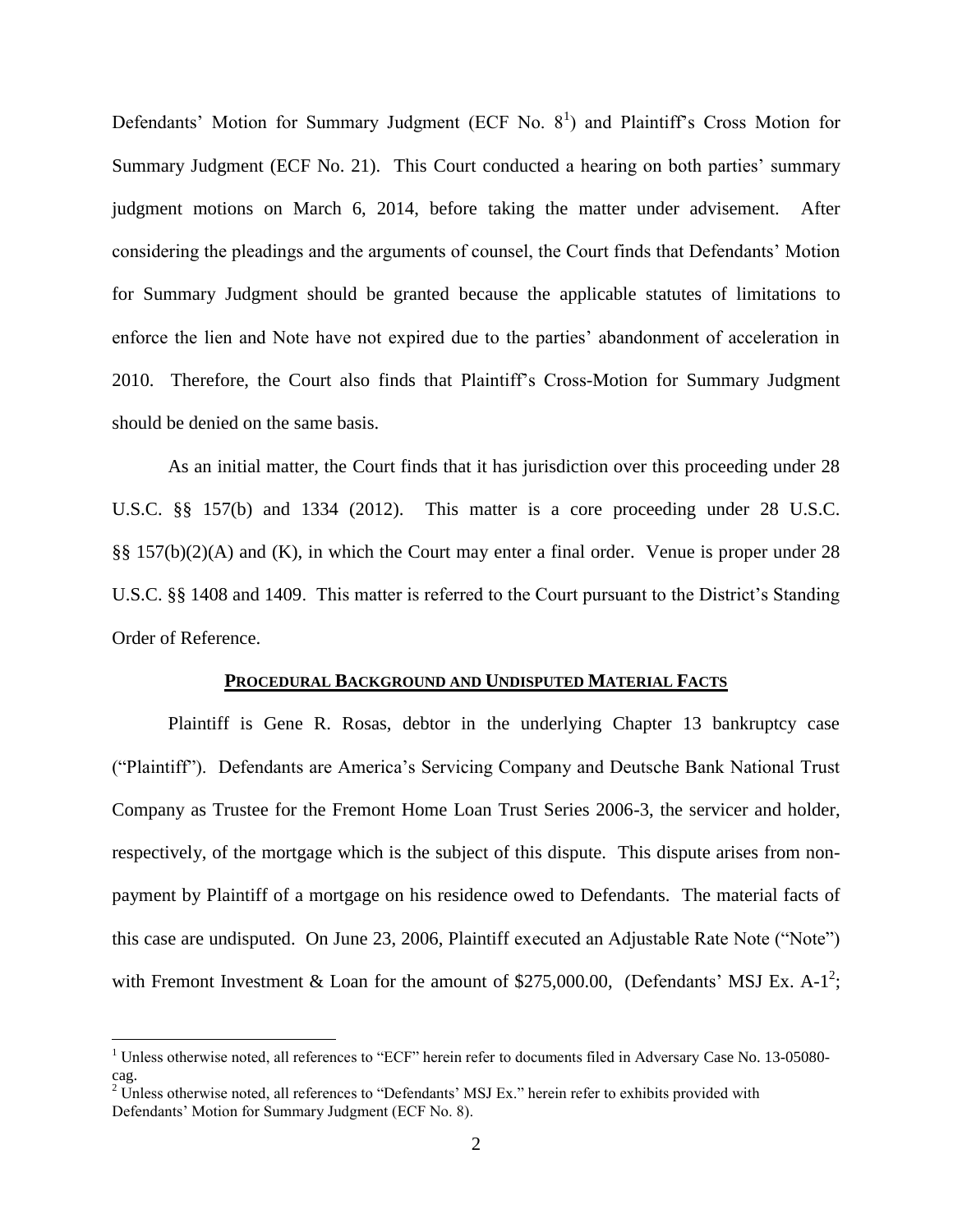Defendants' Motion for Summary Judgment (ECF No.  $8<sup>1</sup>$ ) and Plaintiff's Cross Motion for Summary Judgment (ECF No. 21). This Court conducted a hearing on both parties' summary judgment motions on March 6, 2014, before taking the matter under advisement. After considering the pleadings and the arguments of counsel, the Court finds that Defendants' Motion for Summary Judgment should be granted because the applicable statutes of limitations to enforce the lien and Note have not expired due to the parties' abandonment of acceleration in 2010. Therefore, the Court also finds that Plaintiff's Cross-Motion for Summary Judgment should be denied on the same basis.

As an initial matter, the Court finds that it has jurisdiction over this proceeding under 28 U.S.C. §§ 157(b) and 1334 (2012). This matter is a core proceeding under 28 U.S.C. §§ 157(b)(2)(A) and (K), in which the Court may enter a final order. Venue is proper under 28 U.S.C. §§ 1408 and 1409. This matter is referred to the Court pursuant to the District's Standing Order of Reference.

#### **PROCEDURAL BACKGROUND AND UNDISPUTED MATERIAL FACTS**

Plaintiff is Gene R. Rosas, debtor in the underlying Chapter 13 bankruptcy case ("Plaintiff"). Defendants are America's Servicing Company and Deutsche Bank National Trust Company as Trustee for the Fremont Home Loan Trust Series 2006-3, the servicer and holder, respectively, of the mortgage which is the subject of this dispute. This dispute arises from nonpayment by Plaintiff of a mortgage on his residence owed to Defendants. The material facts of this case are undisputed. On June 23, 2006, Plaintiff executed an Adjustable Rate Note ("Note") with Fremont Investment & Loan for the amount of \$275,000.00, (Defendants' MSJ Ex. A-1<sup>2</sup>;

 $\overline{a}$ 

<sup>&</sup>lt;sup>1</sup> Unless otherwise noted, all references to "ECF" herein refer to documents filed in Adversary Case No. 13-05080cag.

 $2\overline{V}$  Unless otherwise noted, all references to "Defendants' MSJ Ex." herein refer to exhibits provided with Defendants' Motion for Summary Judgment (ECF No. 8).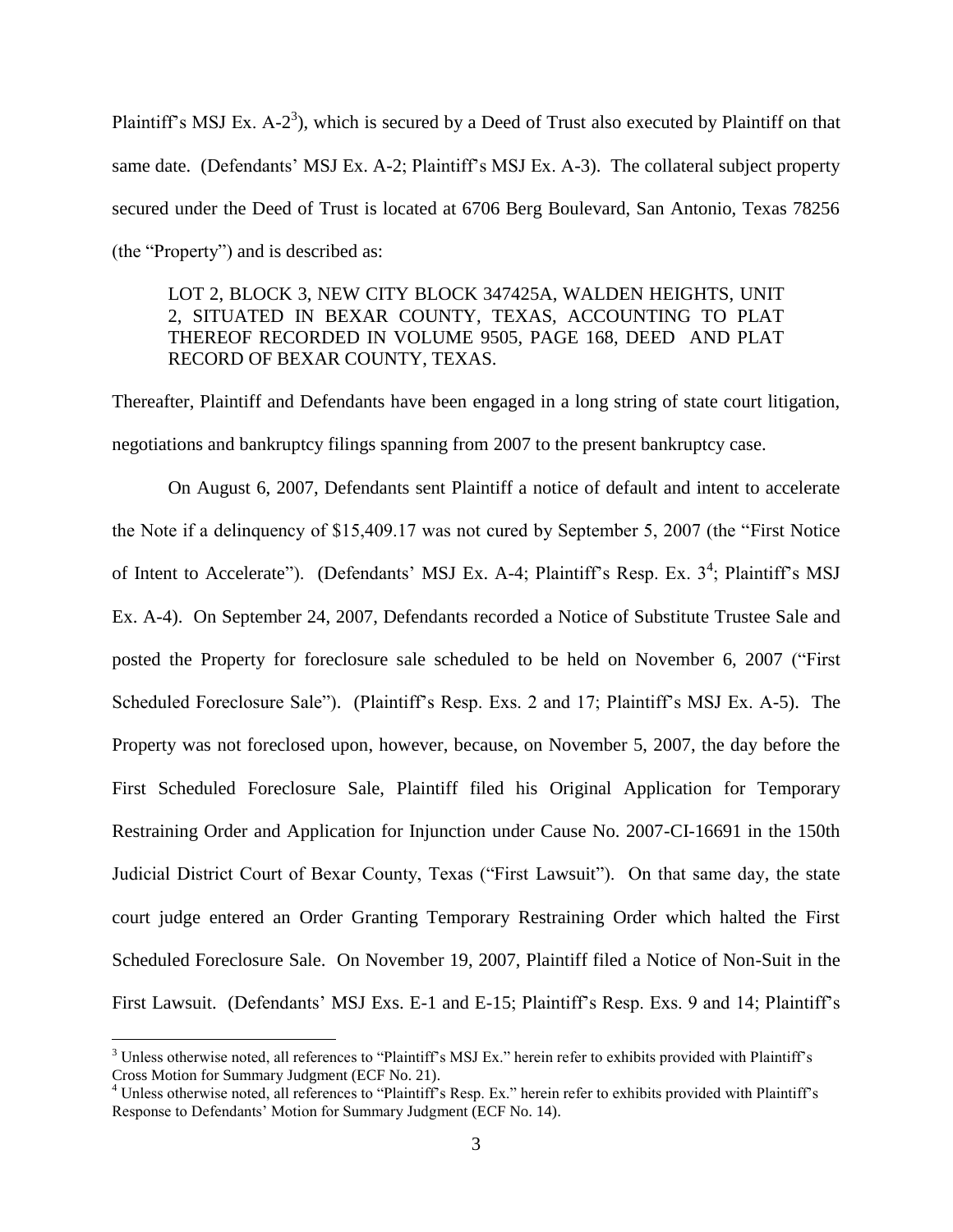Plaintiff's MSJ Ex. A-2<sup>3</sup>), which is secured by a Deed of Trust also executed by Plaintiff on that same date. (Defendants' MSJ Ex. A-2; Plaintiff's MSJ Ex. A-3). The collateral subject property secured under the Deed of Trust is located at 6706 Berg Boulevard, San Antonio, Texas 78256 (the "Property") and is described as:

## LOT 2, BLOCK 3, NEW CITY BLOCK 347425A, WALDEN HEIGHTS, UNIT 2, SITUATED IN BEXAR COUNTY, TEXAS, ACCOUNTING TO PLAT THEREOF RECORDED IN VOLUME 9505, PAGE 168, DEED AND PLAT RECORD OF BEXAR COUNTY, TEXAS.

Thereafter, Plaintiff and Defendants have been engaged in a long string of state court litigation, negotiations and bankruptcy filings spanning from 2007 to the present bankruptcy case.

On August 6, 2007, Defendants sent Plaintiff a notice of default and intent to accelerate the Note if a delinquency of \$15,409.17 was not cured by September 5, 2007 (the "First Notice of Intent to Accelerate"). (Defendants' MSJ Ex. A-4; Plaintiff's Resp. Ex.  $3^4$ ; Plaintiff's MSJ Ex. A-4). On September 24, 2007, Defendants recorded a Notice of Substitute Trustee Sale and posted the Property for foreclosure sale scheduled to be held on November 6, 2007 ("First Scheduled Foreclosure Sale"). (Plaintiff's Resp. Exs. 2 and 17; Plaintiff's MSJ Ex. A-5). The Property was not foreclosed upon, however, because, on November 5, 2007, the day before the First Scheduled Foreclosure Sale, Plaintiff filed his Original Application for Temporary Restraining Order and Application for Injunction under Cause No. 2007-CI-16691 in the 150th Judicial District Court of Bexar County, Texas ("First Lawsuit"). On that same day, the state court judge entered an Order Granting Temporary Restraining Order which halted the First Scheduled Foreclosure Sale. On November 19, 2007, Plaintiff filed a Notice of Non-Suit in the First Lawsuit. (Defendants' MSJ Exs. E-1 and E-15; Plaintiff's Resp. Exs. 9 and 14; Plaintiff's

 $\overline{a}$ 

 $3$  Unless otherwise noted, all references to "Plaintiff's MSJ Ex." herein refer to exhibits provided with Plaintiff's Cross Motion for Summary Judgment (ECF No. 21).

<sup>&</sup>lt;sup>4</sup> Unless otherwise noted, all references to "Plaintiff's Resp. Ex." herein refer to exhibits provided with Plaintiff's Response to Defendants' Motion for Summary Judgment (ECF No. 14).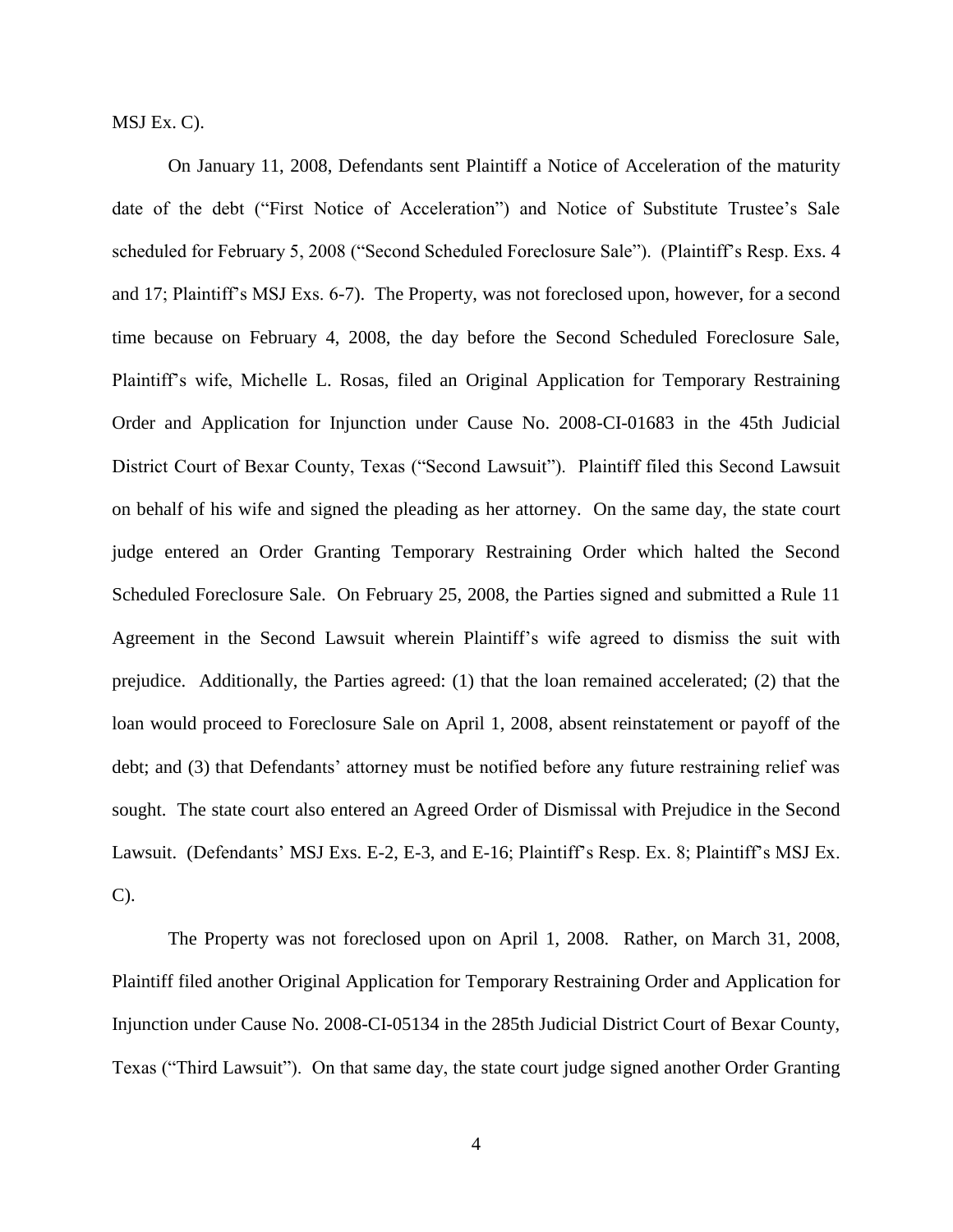MSJ Ex. C).

On January 11, 2008, Defendants sent Plaintiff a Notice of Acceleration of the maturity date of the debt ("First Notice of Acceleration") and Notice of Substitute Trustee's Sale scheduled for February 5, 2008 ("Second Scheduled Foreclosure Sale"). (Plaintiff's Resp. Exs. 4 and 17; Plaintiff's MSJ Exs. 6-7). The Property, was not foreclosed upon, however, for a second time because on February 4, 2008, the day before the Second Scheduled Foreclosure Sale, Plaintiff's wife, Michelle L. Rosas, filed an Original Application for Temporary Restraining Order and Application for Injunction under Cause No. 2008-CI-01683 in the 45th Judicial District Court of Bexar County, Texas ("Second Lawsuit"). Plaintiff filed this Second Lawsuit on behalf of his wife and signed the pleading as her attorney. On the same day, the state court judge entered an Order Granting Temporary Restraining Order which halted the Second Scheduled Foreclosure Sale. On February 25, 2008, the Parties signed and submitted a Rule 11 Agreement in the Second Lawsuit wherein Plaintiff's wife agreed to dismiss the suit with prejudice. Additionally, the Parties agreed: (1) that the loan remained accelerated; (2) that the loan would proceed to Foreclosure Sale on April 1, 2008, absent reinstatement or payoff of the debt; and (3) that Defendants' attorney must be notified before any future restraining relief was sought. The state court also entered an Agreed Order of Dismissal with Prejudice in the Second Lawsuit. (Defendants' MSJ Exs. E-2, E-3, and E-16; Plaintiff's Resp. Ex. 8; Plaintiff's MSJ Ex. C).

The Property was not foreclosed upon on April 1, 2008. Rather, on March 31, 2008, Plaintiff filed another Original Application for Temporary Restraining Order and Application for Injunction under Cause No. 2008-CI-05134 in the 285th Judicial District Court of Bexar County, Texas ("Third Lawsuit"). On that same day, the state court judge signed another Order Granting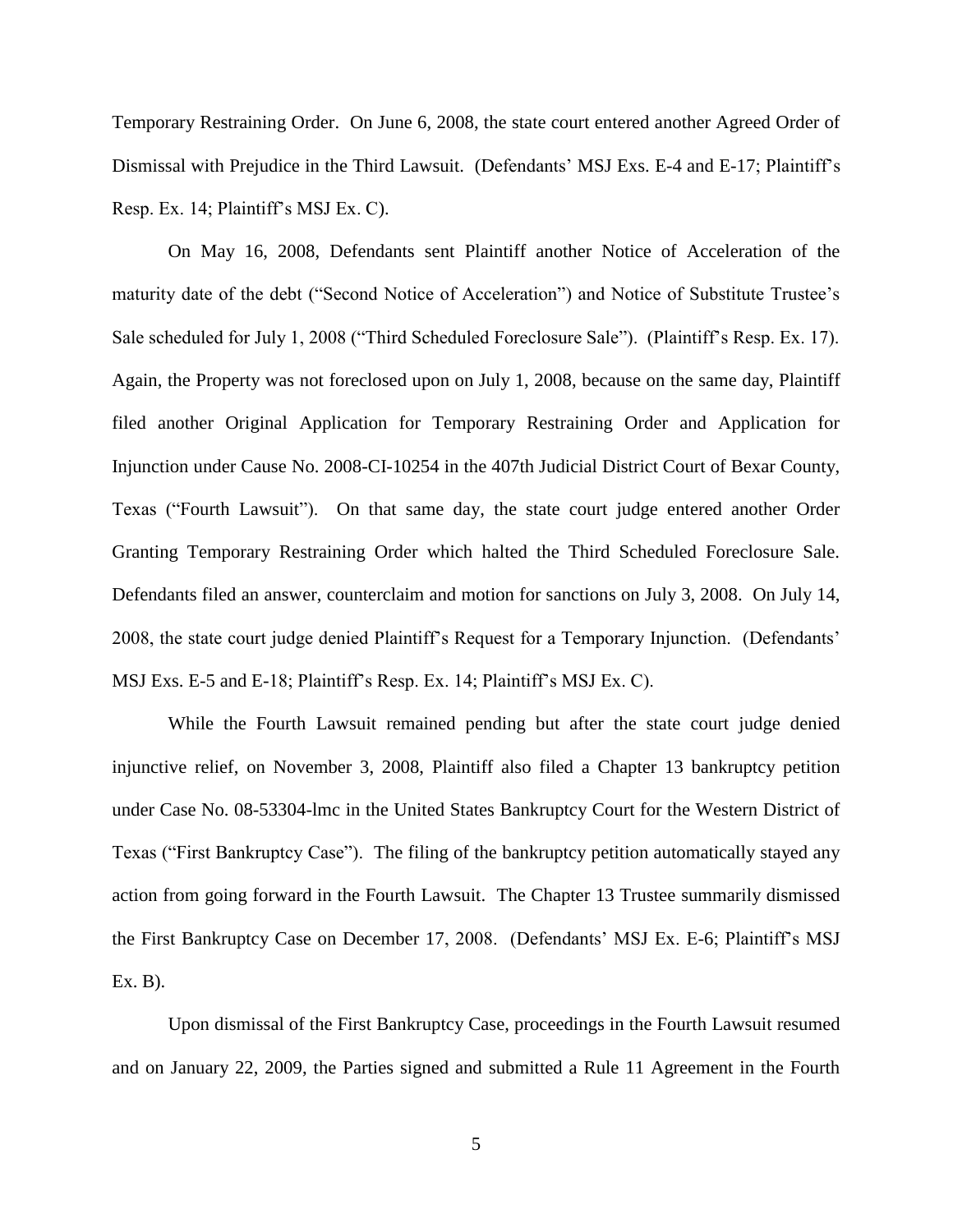Temporary Restraining Order. On June 6, 2008, the state court entered another Agreed Order of Dismissal with Prejudice in the Third Lawsuit. (Defendants' MSJ Exs. E-4 and E-17; Plaintiff's Resp. Ex. 14; Plaintiff's MSJ Ex. C).

On May 16, 2008, Defendants sent Plaintiff another Notice of Acceleration of the maturity date of the debt ("Second Notice of Acceleration") and Notice of Substitute Trustee's Sale scheduled for July 1, 2008 ("Third Scheduled Foreclosure Sale"). (Plaintiff's Resp. Ex. 17). Again, the Property was not foreclosed upon on July 1, 2008, because on the same day, Plaintiff filed another Original Application for Temporary Restraining Order and Application for Injunction under Cause No. 2008-CI-10254 in the 407th Judicial District Court of Bexar County, Texas ("Fourth Lawsuit"). On that same day, the state court judge entered another Order Granting Temporary Restraining Order which halted the Third Scheduled Foreclosure Sale. Defendants filed an answer, counterclaim and motion for sanctions on July 3, 2008. On July 14, 2008, the state court judge denied Plaintiff's Request for a Temporary Injunction. (Defendants' MSJ Exs. E-5 and E-18; Plaintiff's Resp. Ex. 14; Plaintiff's MSJ Ex. C).

While the Fourth Lawsuit remained pending but after the state court judge denied injunctive relief, on November 3, 2008, Plaintiff also filed a Chapter 13 bankruptcy petition under Case No. 08-53304-lmc in the United States Bankruptcy Court for the Western District of Texas ("First Bankruptcy Case"). The filing of the bankruptcy petition automatically stayed any action from going forward in the Fourth Lawsuit. The Chapter 13 Trustee summarily dismissed the First Bankruptcy Case on December 17, 2008. (Defendants' MSJ Ex. E-6; Plaintiff's MSJ Ex. B).

Upon dismissal of the First Bankruptcy Case, proceedings in the Fourth Lawsuit resumed and on January 22, 2009, the Parties signed and submitted a Rule 11 Agreement in the Fourth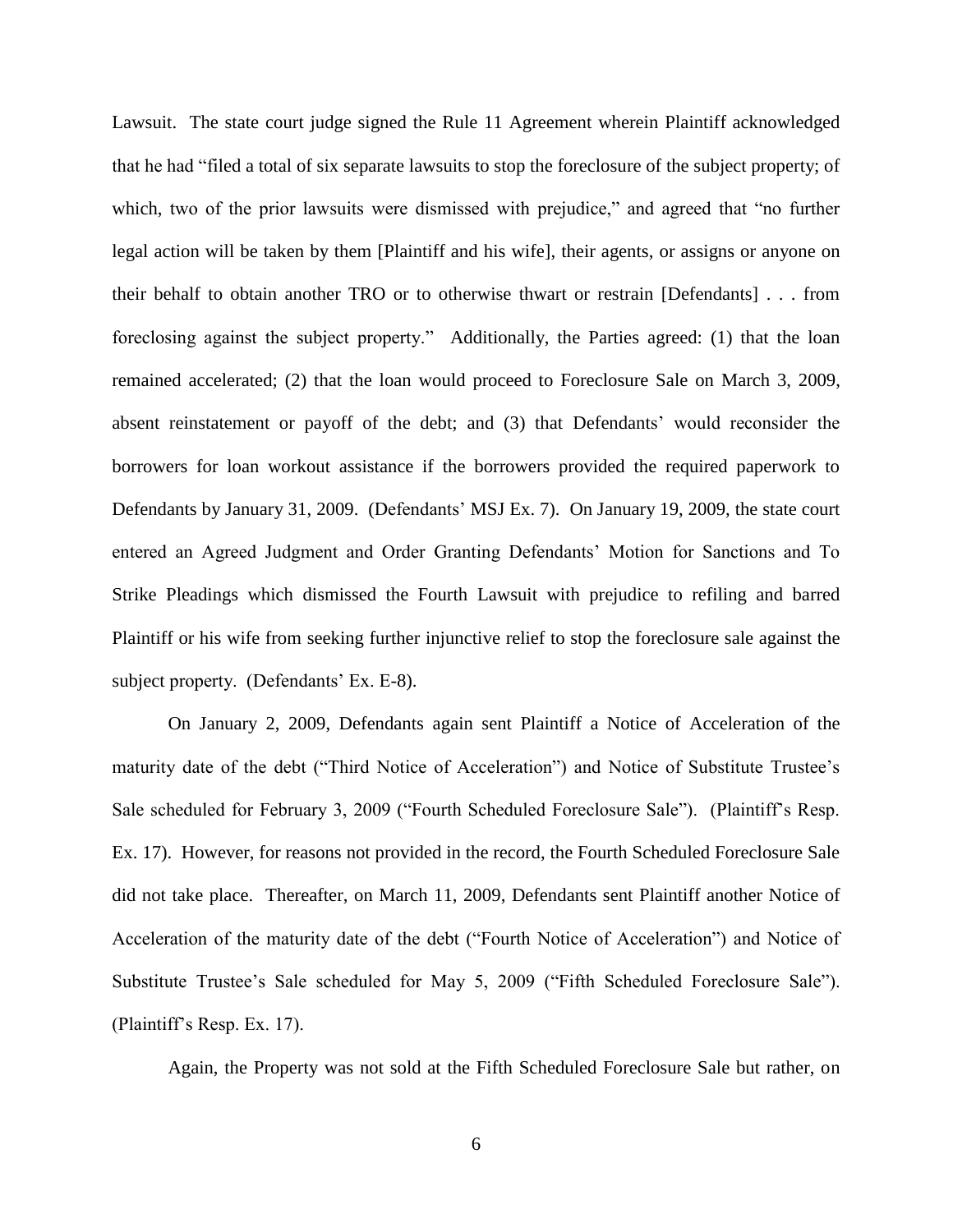Lawsuit. The state court judge signed the Rule 11 Agreement wherein Plaintiff acknowledged that he had "filed a total of six separate lawsuits to stop the foreclosure of the subject property; of which, two of the prior lawsuits were dismissed with prejudice," and agreed that "no further legal action will be taken by them [Plaintiff and his wife], their agents, or assigns or anyone on their behalf to obtain another TRO or to otherwise thwart or restrain [Defendants] . . . from foreclosing against the subject property." Additionally, the Parties agreed: (1) that the loan remained accelerated; (2) that the loan would proceed to Foreclosure Sale on March 3, 2009, absent reinstatement or payoff of the debt; and (3) that Defendants' would reconsider the borrowers for loan workout assistance if the borrowers provided the required paperwork to Defendants by January 31, 2009. (Defendants' MSJ Ex. 7). On January 19, 2009, the state court entered an Agreed Judgment and Order Granting Defendants' Motion for Sanctions and To Strike Pleadings which dismissed the Fourth Lawsuit with prejudice to refiling and barred Plaintiff or his wife from seeking further injunctive relief to stop the foreclosure sale against the subject property. (Defendants' Ex. E-8).

On January 2, 2009, Defendants again sent Plaintiff a Notice of Acceleration of the maturity date of the debt ("Third Notice of Acceleration") and Notice of Substitute Trustee's Sale scheduled for February 3, 2009 ("Fourth Scheduled Foreclosure Sale"). (Plaintiff's Resp. Ex. 17). However, for reasons not provided in the record, the Fourth Scheduled Foreclosure Sale did not take place. Thereafter, on March 11, 2009, Defendants sent Plaintiff another Notice of Acceleration of the maturity date of the debt ("Fourth Notice of Acceleration") and Notice of Substitute Trustee's Sale scheduled for May 5, 2009 ("Fifth Scheduled Foreclosure Sale"). (Plaintiff's Resp. Ex. 17).

Again, the Property was not sold at the Fifth Scheduled Foreclosure Sale but rather, on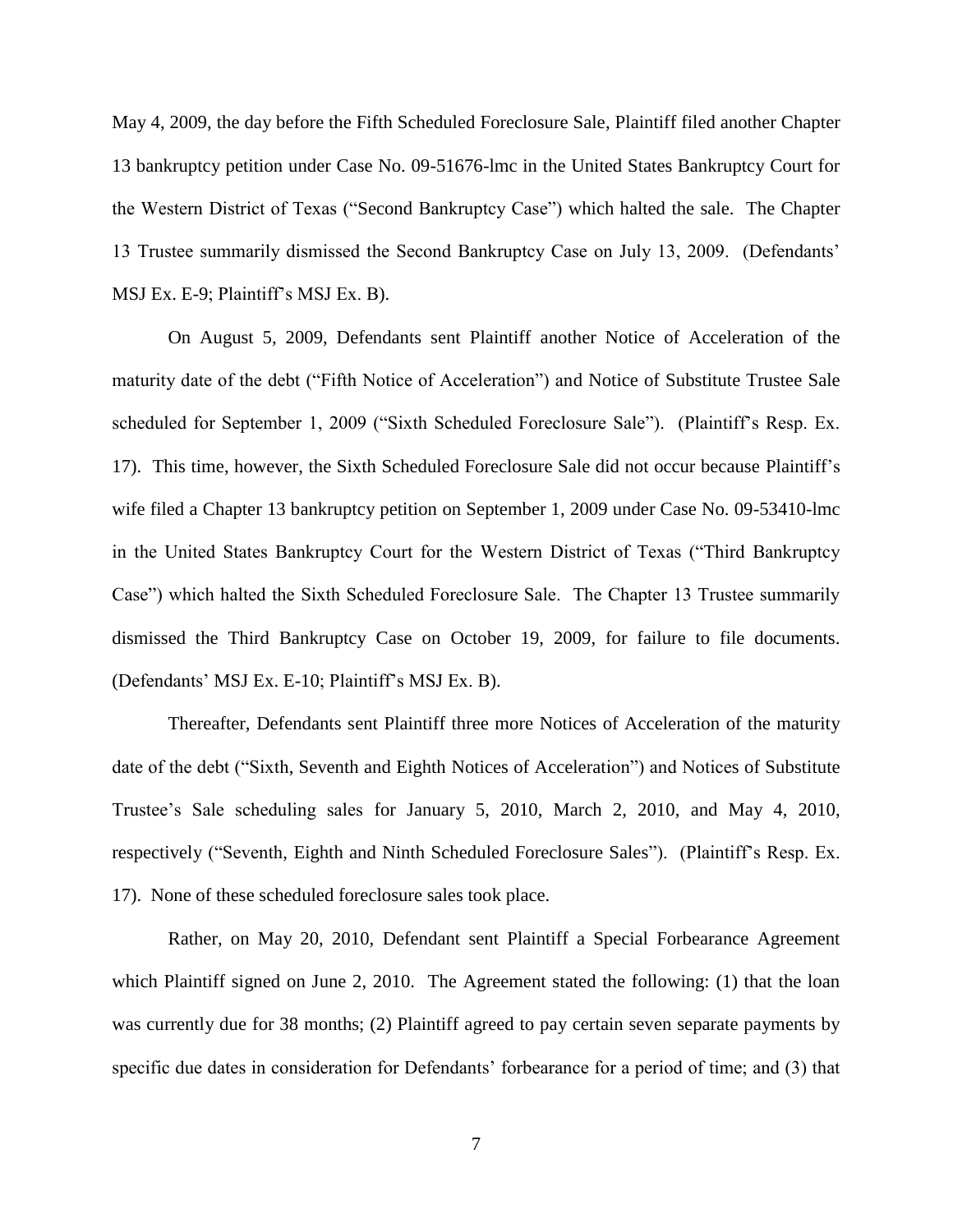May 4, 2009, the day before the Fifth Scheduled Foreclosure Sale, Plaintiff filed another Chapter 13 bankruptcy petition under Case No. 09-51676-lmc in the United States Bankruptcy Court for the Western District of Texas ("Second Bankruptcy Case") which halted the sale. The Chapter 13 Trustee summarily dismissed the Second Bankruptcy Case on July 13, 2009. (Defendants' MSJ Ex. E-9; Plaintiff's MSJ Ex. B).

On August 5, 2009, Defendants sent Plaintiff another Notice of Acceleration of the maturity date of the debt ("Fifth Notice of Acceleration") and Notice of Substitute Trustee Sale scheduled for September 1, 2009 ("Sixth Scheduled Foreclosure Sale"). (Plaintiff's Resp. Ex. 17). This time, however, the Sixth Scheduled Foreclosure Sale did not occur because Plaintiff's wife filed a Chapter 13 bankruptcy petition on September 1, 2009 under Case No. 09-53410-lmc in the United States Bankruptcy Court for the Western District of Texas ("Third Bankruptcy Case") which halted the Sixth Scheduled Foreclosure Sale. The Chapter 13 Trustee summarily dismissed the Third Bankruptcy Case on October 19, 2009, for failure to file documents. (Defendants' MSJ Ex. E-10; Plaintiff's MSJ Ex. B).

Thereafter, Defendants sent Plaintiff three more Notices of Acceleration of the maturity date of the debt ("Sixth, Seventh and Eighth Notices of Acceleration") and Notices of Substitute Trustee's Sale scheduling sales for January 5, 2010, March 2, 2010, and May 4, 2010, respectively ("Seventh, Eighth and Ninth Scheduled Foreclosure Sales"). (Plaintiff's Resp. Ex. 17). None of these scheduled foreclosure sales took place.

Rather, on May 20, 2010, Defendant sent Plaintiff a Special Forbearance Agreement which Plaintiff signed on June 2, 2010. The Agreement stated the following: (1) that the loan was currently due for 38 months; (2) Plaintiff agreed to pay certain seven separate payments by specific due dates in consideration for Defendants' forbearance for a period of time; and (3) that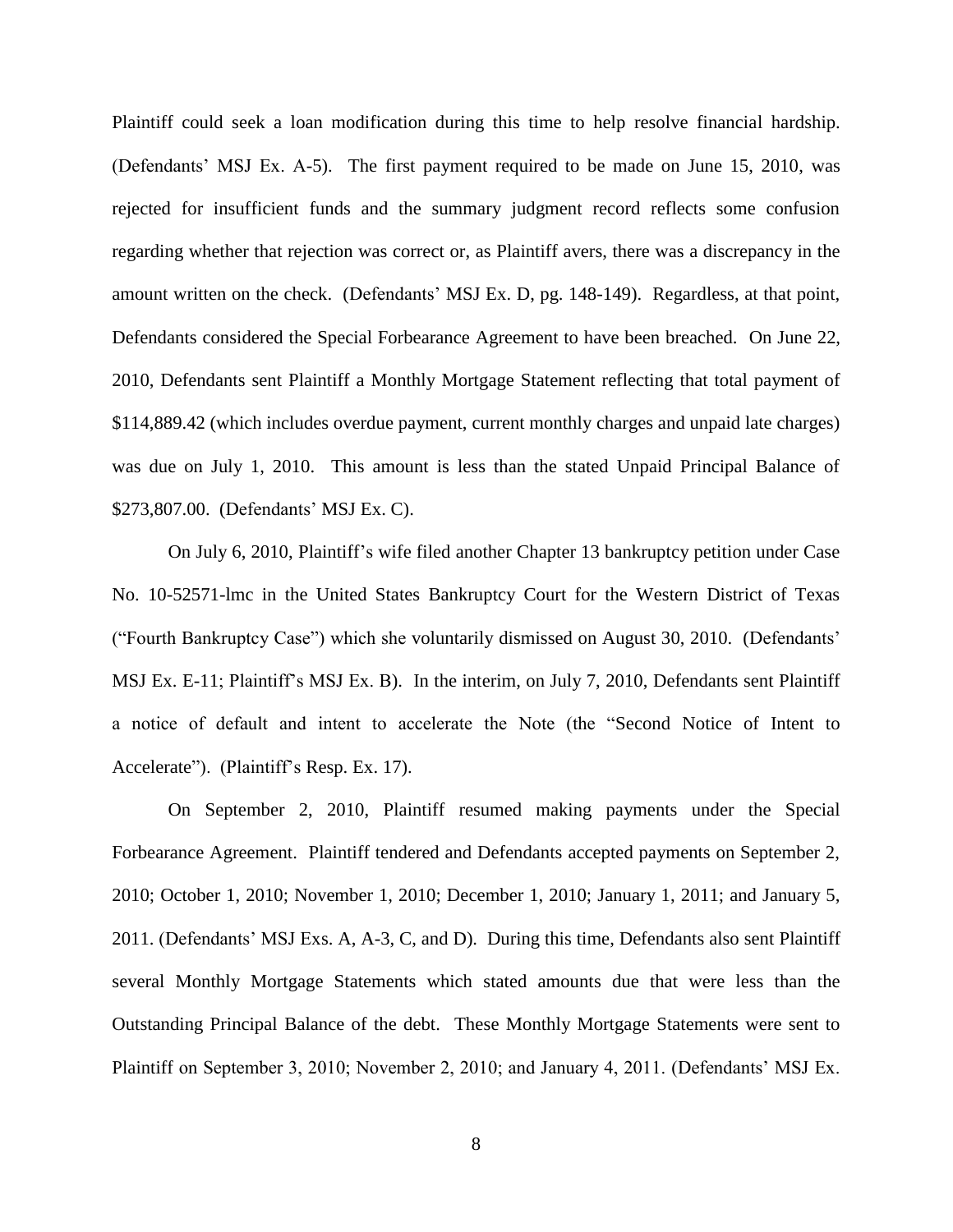Plaintiff could seek a loan modification during this time to help resolve financial hardship. (Defendants' MSJ Ex. A-5). The first payment required to be made on June 15, 2010, was rejected for insufficient funds and the summary judgment record reflects some confusion regarding whether that rejection was correct or, as Plaintiff avers, there was a discrepancy in the amount written on the check. (Defendants' MSJ Ex. D, pg. 148-149). Regardless, at that point, Defendants considered the Special Forbearance Agreement to have been breached. On June 22, 2010, Defendants sent Plaintiff a Monthly Mortgage Statement reflecting that total payment of \$114,889.42 (which includes overdue payment, current monthly charges and unpaid late charges) was due on July 1, 2010. This amount is less than the stated Unpaid Principal Balance of \$273,807.00. (Defendants' MSJ Ex. C).

On July 6, 2010, Plaintiff's wife filed another Chapter 13 bankruptcy petition under Case No. 10-52571-lmc in the United States Bankruptcy Court for the Western District of Texas ("Fourth Bankruptcy Case") which she voluntarily dismissed on August 30, 2010. (Defendants' MSJ Ex. E-11; Plaintiff's MSJ Ex. B). In the interim, on July 7, 2010, Defendants sent Plaintiff a notice of default and intent to accelerate the Note (the "Second Notice of Intent to Accelerate"). (Plaintiff's Resp. Ex. 17).

On September 2, 2010, Plaintiff resumed making payments under the Special Forbearance Agreement. Plaintiff tendered and Defendants accepted payments on September 2, 2010; October 1, 2010; November 1, 2010; December 1, 2010; January 1, 2011; and January 5, 2011. (Defendants' MSJ Exs. A, A-3, C, and D). During this time, Defendants also sent Plaintiff several Monthly Mortgage Statements which stated amounts due that were less than the Outstanding Principal Balance of the debt. These Monthly Mortgage Statements were sent to Plaintiff on September 3, 2010; November 2, 2010; and January 4, 2011. (Defendants' MSJ Ex.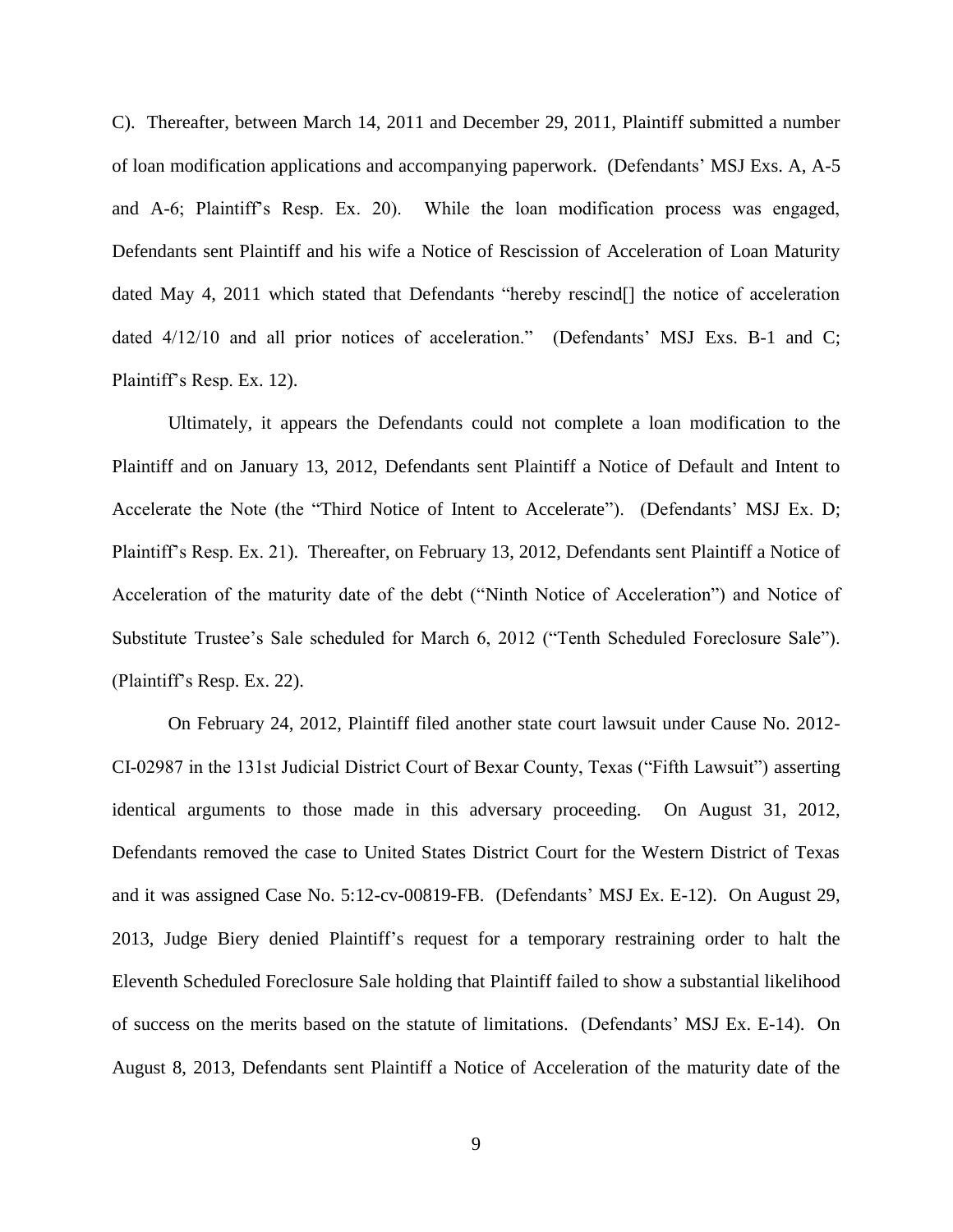C). Thereafter, between March 14, 2011 and December 29, 2011, Plaintiff submitted a number of loan modification applications and accompanying paperwork. (Defendants' MSJ Exs. A, A-5 and A-6; Plaintiff's Resp. Ex. 20). While the loan modification process was engaged, Defendants sent Plaintiff and his wife a Notice of Rescission of Acceleration of Loan Maturity dated May 4, 2011 which stated that Defendants "hereby rescind<sup>[]</sup> the notice of acceleration dated  $4/12/10$  and all prior notices of acceleration." (Defendants' MSJ Exs. B-1 and C; Plaintiff's Resp. Ex. 12).

Ultimately, it appears the Defendants could not complete a loan modification to the Plaintiff and on January 13, 2012, Defendants sent Plaintiff a Notice of Default and Intent to Accelerate the Note (the "Third Notice of Intent to Accelerate"). (Defendants' MSJ Ex. D; Plaintiff's Resp. Ex. 21). Thereafter, on February 13, 2012, Defendants sent Plaintiff a Notice of Acceleration of the maturity date of the debt ("Ninth Notice of Acceleration") and Notice of Substitute Trustee's Sale scheduled for March 6, 2012 ("Tenth Scheduled Foreclosure Sale"). (Plaintiff's Resp. Ex. 22).

On February 24, 2012, Plaintiff filed another state court lawsuit under Cause No. 2012- CI-02987 in the 131st Judicial District Court of Bexar County, Texas ("Fifth Lawsuit") asserting identical arguments to those made in this adversary proceeding. On August 31, 2012, Defendants removed the case to United States District Court for the Western District of Texas and it was assigned Case No. 5:12-cv-00819-FB. (Defendants' MSJ Ex. E-12). On August 29, 2013, Judge Biery denied Plaintiff's request for a temporary restraining order to halt the Eleventh Scheduled Foreclosure Sale holding that Plaintiff failed to show a substantial likelihood of success on the merits based on the statute of limitations. (Defendants' MSJ Ex. E-14). On August 8, 2013, Defendants sent Plaintiff a Notice of Acceleration of the maturity date of the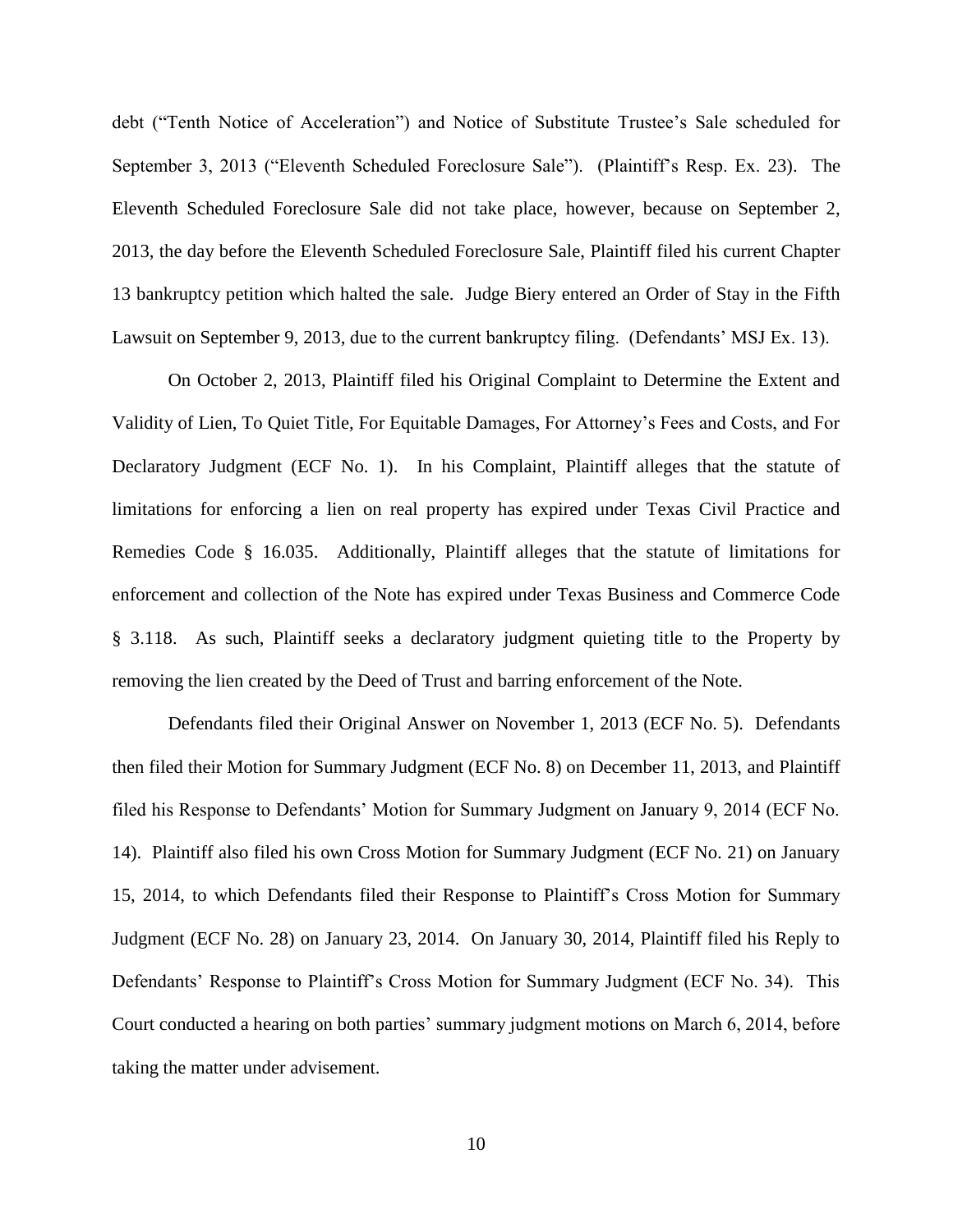debt ("Tenth Notice of Acceleration") and Notice of Substitute Trustee's Sale scheduled for September 3, 2013 ("Eleventh Scheduled Foreclosure Sale"). (Plaintiff's Resp. Ex. 23). The Eleventh Scheduled Foreclosure Sale did not take place, however, because on September 2, 2013, the day before the Eleventh Scheduled Foreclosure Sale, Plaintiff filed his current Chapter 13 bankruptcy petition which halted the sale. Judge Biery entered an Order of Stay in the Fifth Lawsuit on September 9, 2013, due to the current bankruptcy filing. (Defendants' MSJ Ex. 13).

On October 2, 2013, Plaintiff filed his Original Complaint to Determine the Extent and Validity of Lien, To Quiet Title, For Equitable Damages, For Attorney's Fees and Costs, and For Declaratory Judgment (ECF No. 1). In his Complaint, Plaintiff alleges that the statute of limitations for enforcing a lien on real property has expired under Texas Civil Practice and Remedies Code § 16.035. Additionally, Plaintiff alleges that the statute of limitations for enforcement and collection of the Note has expired under Texas Business and Commerce Code § 3.118. As such, Plaintiff seeks a declaratory judgment quieting title to the Property by removing the lien created by the Deed of Trust and barring enforcement of the Note.

Defendants filed their Original Answer on November 1, 2013 (ECF No. 5). Defendants then filed their Motion for Summary Judgment (ECF No. 8) on December 11, 2013, and Plaintiff filed his Response to Defendants' Motion for Summary Judgment on January 9, 2014 (ECF No. 14). Plaintiff also filed his own Cross Motion for Summary Judgment (ECF No. 21) on January 15, 2014, to which Defendants filed their Response to Plaintiff's Cross Motion for Summary Judgment (ECF No. 28) on January 23, 2014. On January 30, 2014, Plaintiff filed his Reply to Defendants' Response to Plaintiff's Cross Motion for Summary Judgment (ECF No. 34). This Court conducted a hearing on both parties' summary judgment motions on March 6, 2014, before taking the matter under advisement.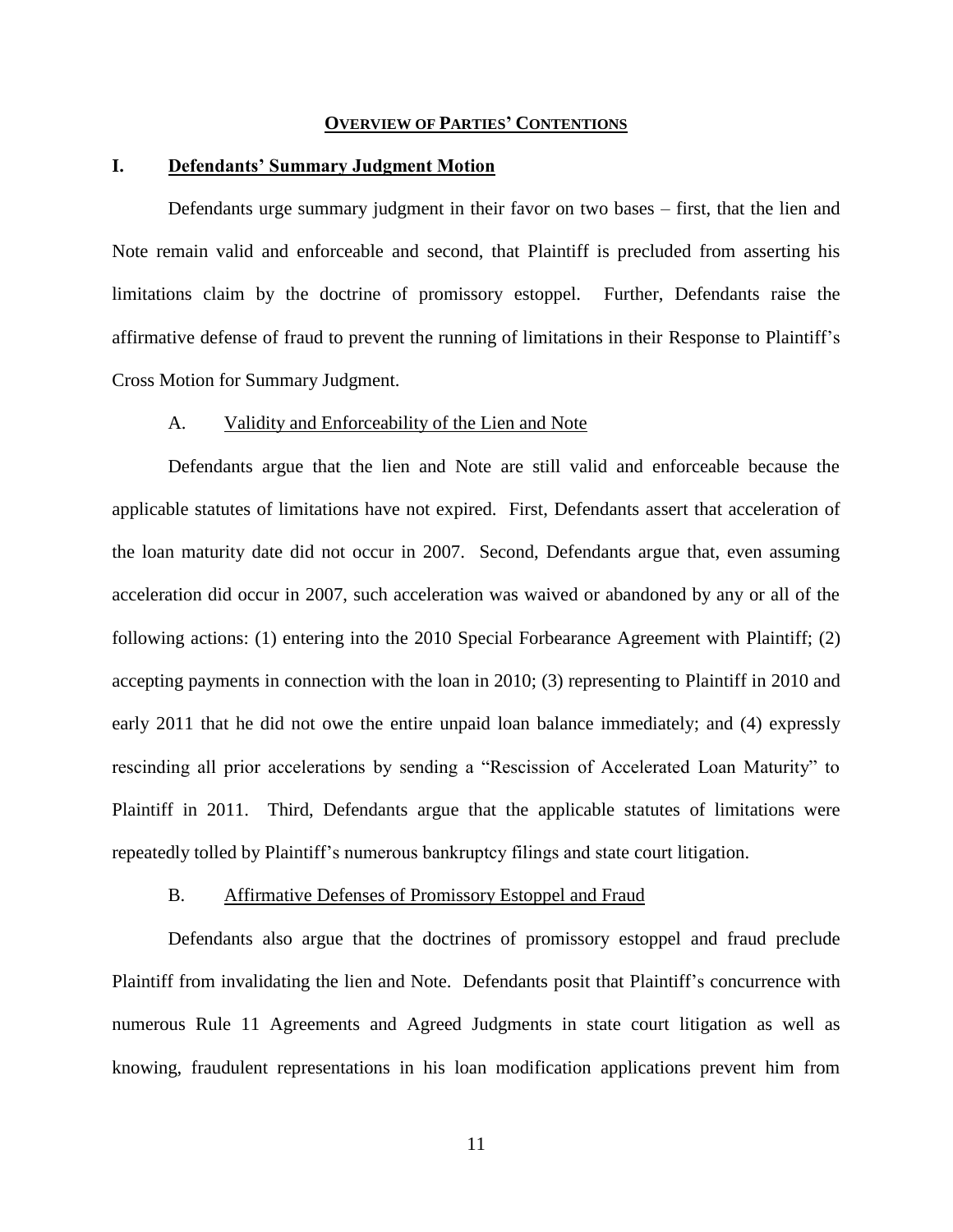#### **OVERVIEW OF PARTIES' CONTENTIONS**

#### **I. Defendants' Summary Judgment Motion**

Defendants urge summary judgment in their favor on two bases – first, that the lien and Note remain valid and enforceable and second, that Plaintiff is precluded from asserting his limitations claim by the doctrine of promissory estoppel. Further, Defendants raise the affirmative defense of fraud to prevent the running of limitations in their Response to Plaintiff's Cross Motion for Summary Judgment.

### A. Validity and Enforceability of the Lien and Note

Defendants argue that the lien and Note are still valid and enforceable because the applicable statutes of limitations have not expired. First, Defendants assert that acceleration of the loan maturity date did not occur in 2007. Second, Defendants argue that, even assuming acceleration did occur in 2007, such acceleration was waived or abandoned by any or all of the following actions: (1) entering into the 2010 Special Forbearance Agreement with Plaintiff; (2) accepting payments in connection with the loan in 2010; (3) representing to Plaintiff in 2010 and early 2011 that he did not owe the entire unpaid loan balance immediately; and (4) expressly rescinding all prior accelerations by sending a "Rescission of Accelerated Loan Maturity" to Plaintiff in 2011. Third, Defendants argue that the applicable statutes of limitations were repeatedly tolled by Plaintiff's numerous bankruptcy filings and state court litigation.

## B. Affirmative Defenses of Promissory Estoppel and Fraud

Defendants also argue that the doctrines of promissory estoppel and fraud preclude Plaintiff from invalidating the lien and Note. Defendants posit that Plaintiff's concurrence with numerous Rule 11 Agreements and Agreed Judgments in state court litigation as well as knowing, fraudulent representations in his loan modification applications prevent him from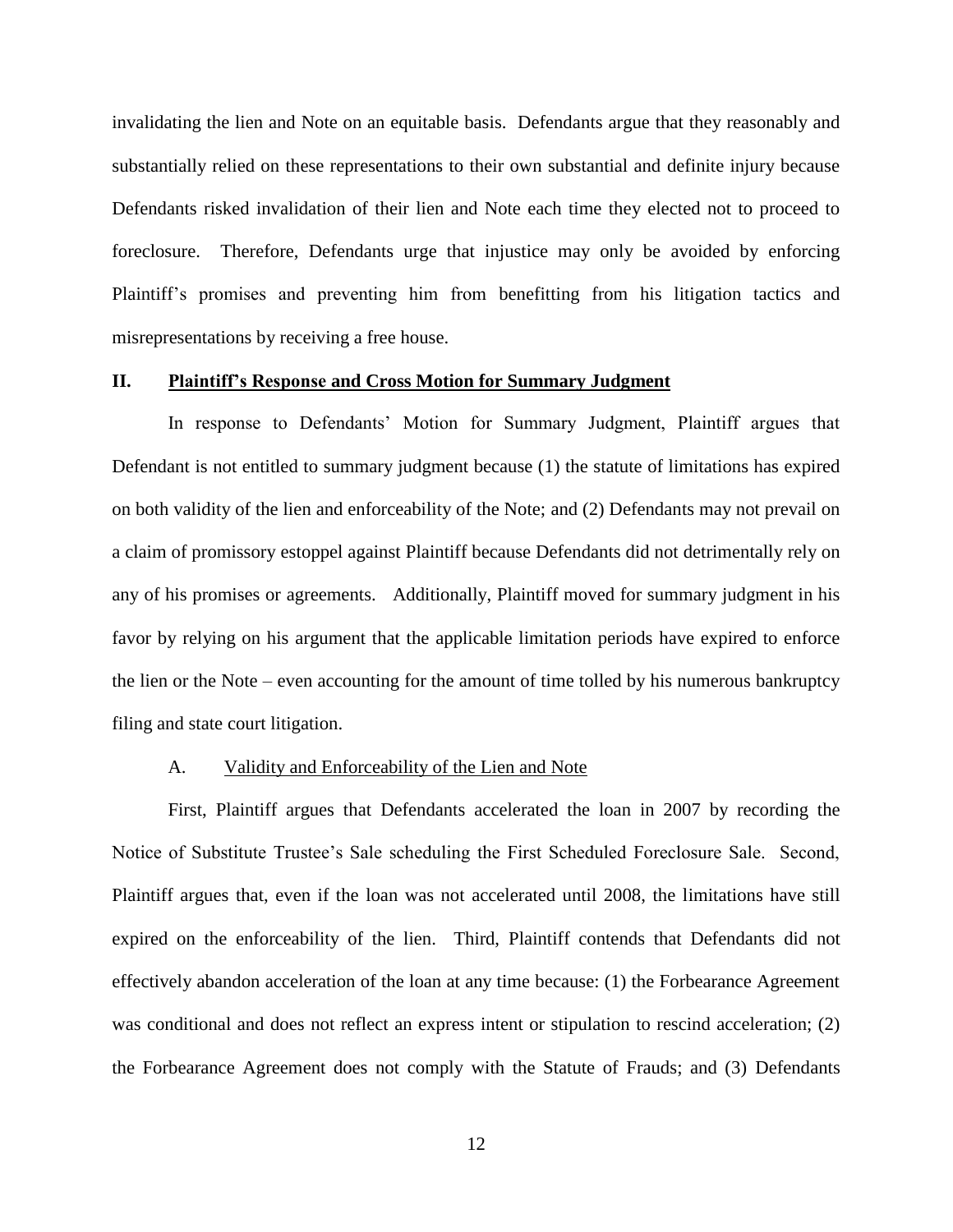invalidating the lien and Note on an equitable basis. Defendants argue that they reasonably and substantially relied on these representations to their own substantial and definite injury because Defendants risked invalidation of their lien and Note each time they elected not to proceed to foreclosure. Therefore, Defendants urge that injustice may only be avoided by enforcing Plaintiff's promises and preventing him from benefitting from his litigation tactics and misrepresentations by receiving a free house.

## **II. Plaintiff's Response and Cross Motion for Summary Judgment**

In response to Defendants' Motion for Summary Judgment, Plaintiff argues that Defendant is not entitled to summary judgment because (1) the statute of limitations has expired on both validity of the lien and enforceability of the Note; and (2) Defendants may not prevail on a claim of promissory estoppel against Plaintiff because Defendants did not detrimentally rely on any of his promises or agreements. Additionally, Plaintiff moved for summary judgment in his favor by relying on his argument that the applicable limitation periods have expired to enforce the lien or the Note – even accounting for the amount of time tolled by his numerous bankruptcy filing and state court litigation.

## A. Validity and Enforceability of the Lien and Note

First, Plaintiff argues that Defendants accelerated the loan in 2007 by recording the Notice of Substitute Trustee's Sale scheduling the First Scheduled Foreclosure Sale. Second, Plaintiff argues that, even if the loan was not accelerated until 2008, the limitations have still expired on the enforceability of the lien. Third, Plaintiff contends that Defendants did not effectively abandon acceleration of the loan at any time because: (1) the Forbearance Agreement was conditional and does not reflect an express intent or stipulation to rescind acceleration; (2) the Forbearance Agreement does not comply with the Statute of Frauds; and (3) Defendants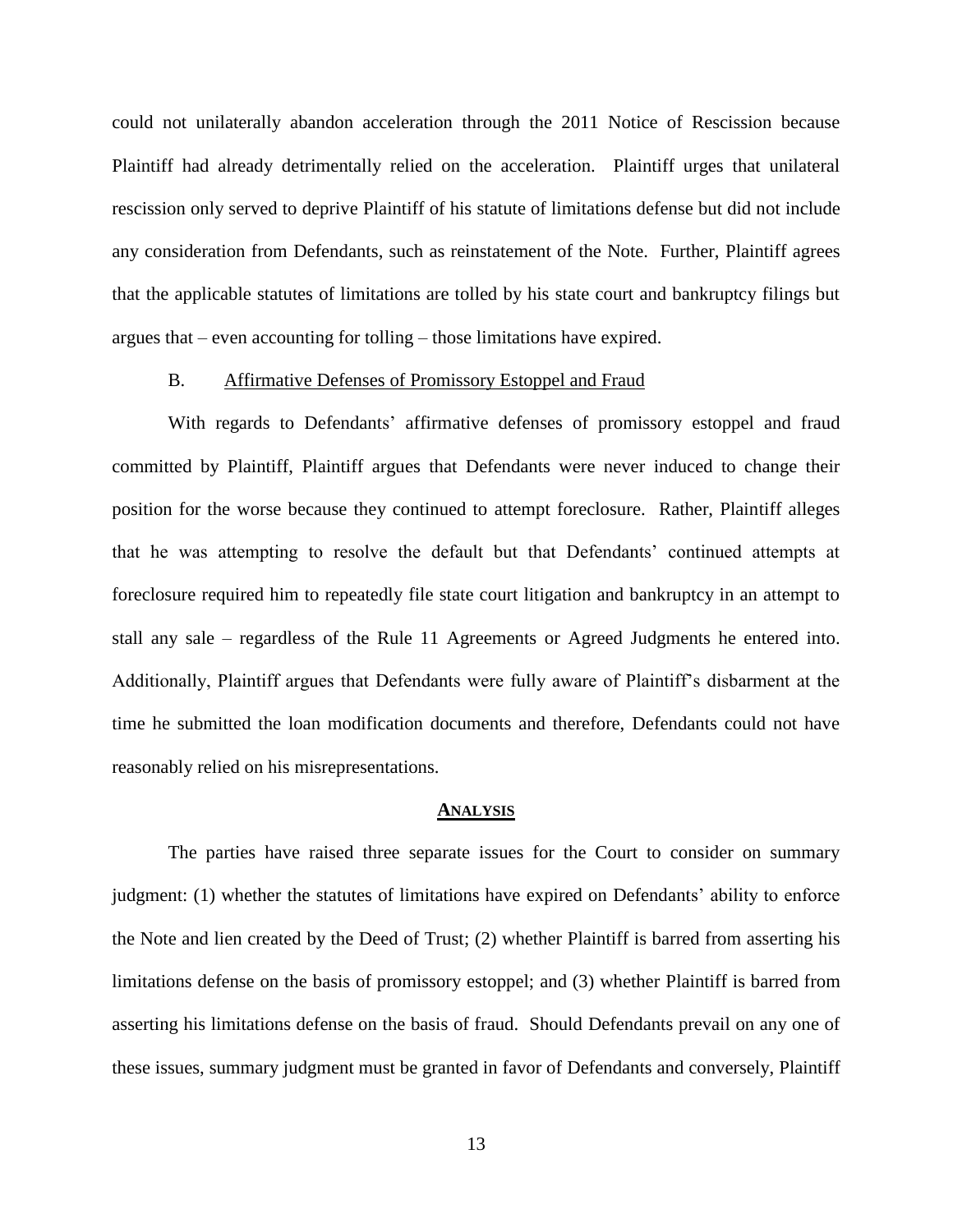could not unilaterally abandon acceleration through the 2011 Notice of Rescission because Plaintiff had already detrimentally relied on the acceleration. Plaintiff urges that unilateral rescission only served to deprive Plaintiff of his statute of limitations defense but did not include any consideration from Defendants, such as reinstatement of the Note. Further, Plaintiff agrees that the applicable statutes of limitations are tolled by his state court and bankruptcy filings but argues that – even accounting for tolling – those limitations have expired.

## B. Affirmative Defenses of Promissory Estoppel and Fraud

With regards to Defendants' affirmative defenses of promissory estoppel and fraud committed by Plaintiff, Plaintiff argues that Defendants were never induced to change their position for the worse because they continued to attempt foreclosure. Rather, Plaintiff alleges that he was attempting to resolve the default but that Defendants' continued attempts at foreclosure required him to repeatedly file state court litigation and bankruptcy in an attempt to stall any sale – regardless of the Rule 11 Agreements or Agreed Judgments he entered into. Additionally, Plaintiff argues that Defendants were fully aware of Plaintiff's disbarment at the time he submitted the loan modification documents and therefore, Defendants could not have reasonably relied on his misrepresentations.

#### **ANALYSIS**

The parties have raised three separate issues for the Court to consider on summary judgment: (1) whether the statutes of limitations have expired on Defendants' ability to enforce the Note and lien created by the Deed of Trust; (2) whether Plaintiff is barred from asserting his limitations defense on the basis of promissory estoppel; and (3) whether Plaintiff is barred from asserting his limitations defense on the basis of fraud. Should Defendants prevail on any one of these issues, summary judgment must be granted in favor of Defendants and conversely, Plaintiff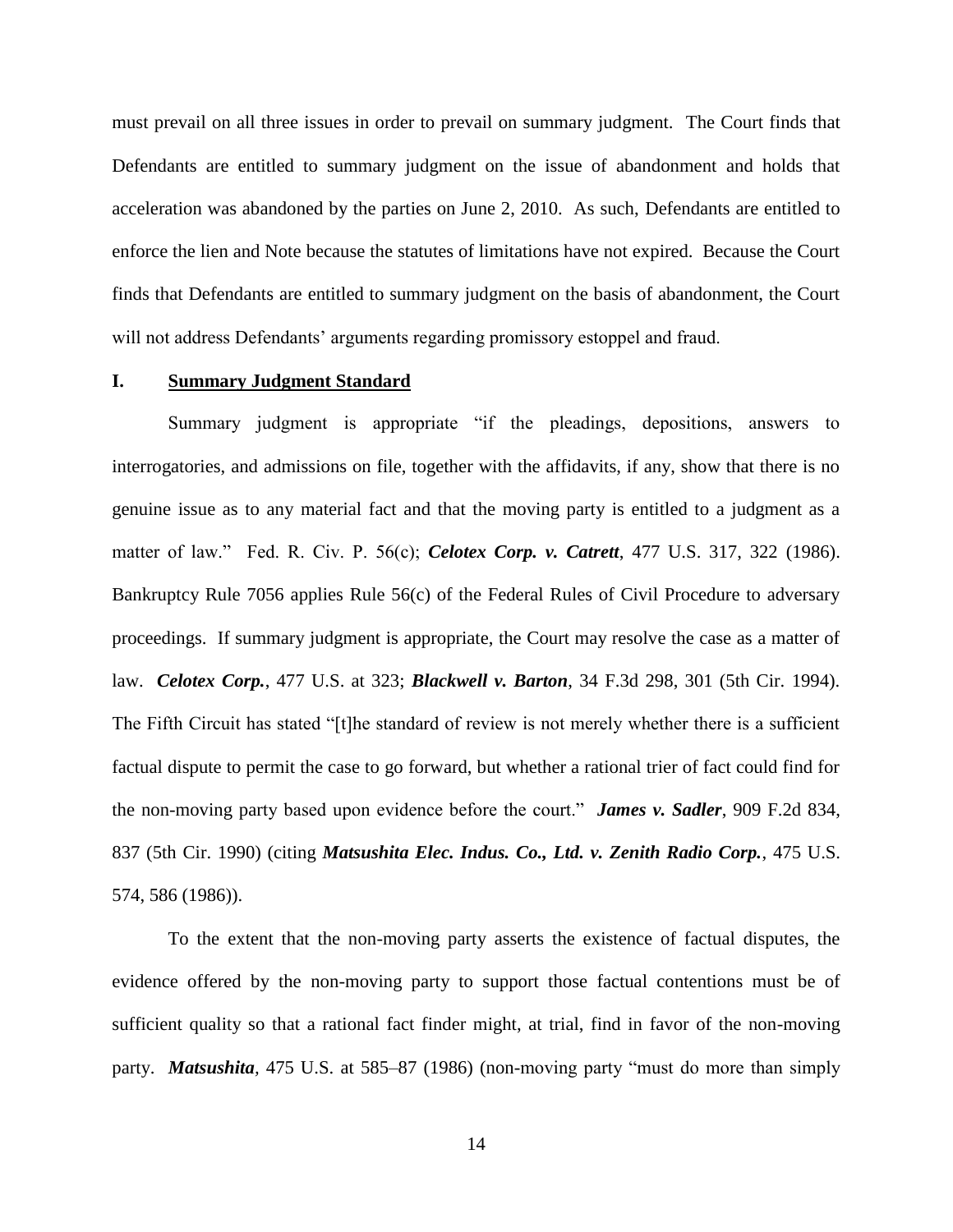must prevail on all three issues in order to prevail on summary judgment. The Court finds that Defendants are entitled to summary judgment on the issue of abandonment and holds that acceleration was abandoned by the parties on June 2, 2010. As such, Defendants are entitled to enforce the lien and Note because the statutes of limitations have not expired. Because the Court finds that Defendants are entitled to summary judgment on the basis of abandonment, the Court will not address Defendants' arguments regarding promissory estoppel and fraud.

#### **I. Summary Judgment Standard**

Summary judgment is appropriate "if the pleadings, depositions, answers to interrogatories, and admissions on file, together with the affidavits, if any, show that there is no genuine issue as to any material fact and that the moving party is entitled to a judgment as a matter of law." Fed. R. Civ. P. 56(c); *Celotex Corp. v. Catrett*, 477 U.S. 317, 322 (1986). Bankruptcy Rule 7056 applies Rule 56(c) of the Federal Rules of Civil Procedure to adversary proceedings. If summary judgment is appropriate, the Court may resolve the case as a matter of law. *Celotex Corp.*, 477 U.S. at 323; *Blackwell v. Barton*, 34 F.3d 298, 301 (5th Cir. 1994). The Fifth Circuit has stated "[t]he standard of review is not merely whether there is a sufficient factual dispute to permit the case to go forward, but whether a rational trier of fact could find for the non-moving party based upon evidence before the court." *James v. Sadler*, 909 F.2d 834, 837 (5th Cir. 1990) (citing *Matsushita Elec. Indus. Co., Ltd. v. Zenith Radio Corp.*, 475 U.S. 574, 586 (1986)).

To the extent that the non-moving party asserts the existence of factual disputes, the evidence offered by the non-moving party to support those factual contentions must be of sufficient quality so that a rational fact finder might, at trial, find in favor of the non-moving party. *Matsushita,* 475 U.S. at 585–87 (1986) (non-moving party "must do more than simply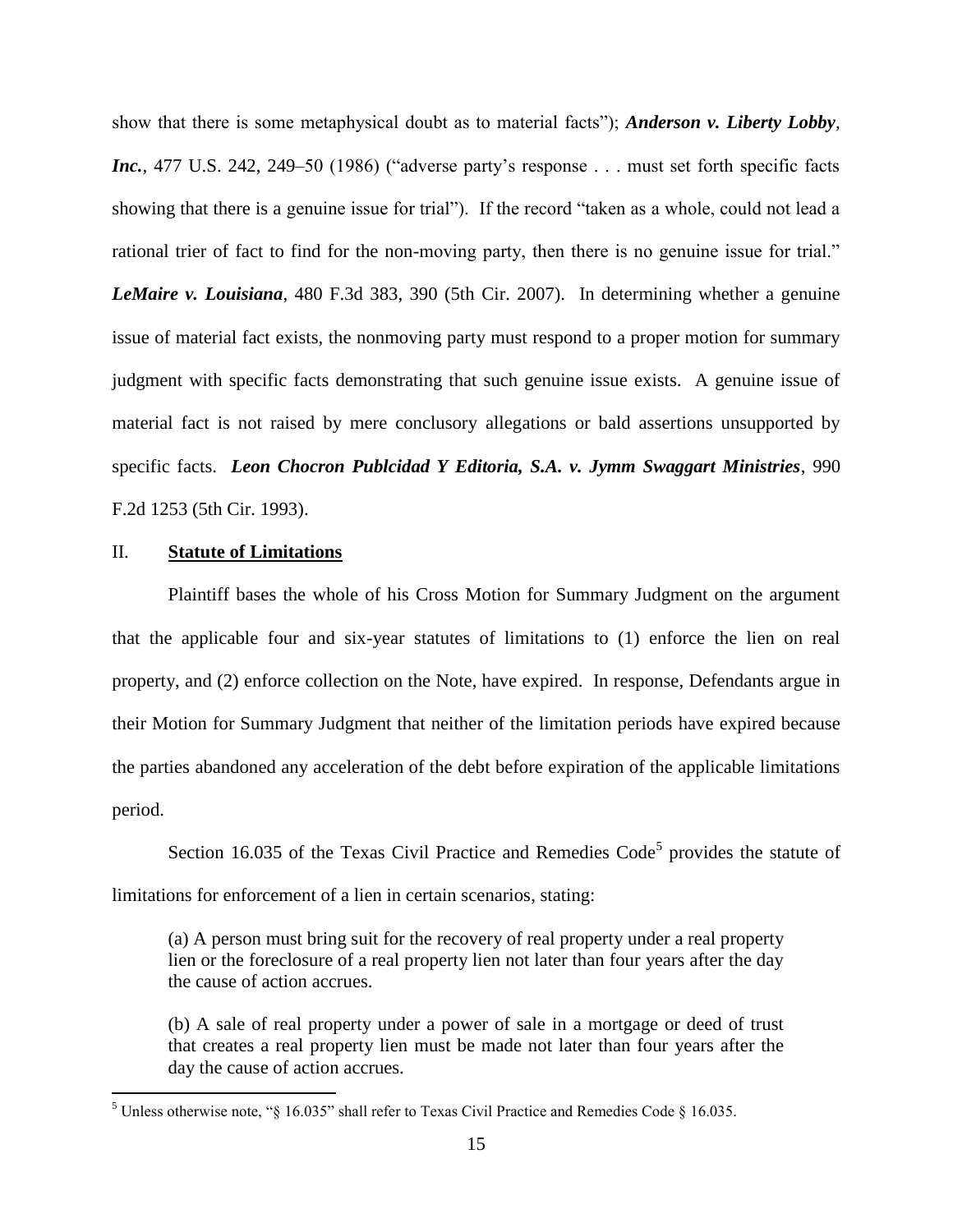show that there is some metaphysical doubt as to material facts"); *Anderson v. Liberty Lobby, Inc.*, 477 U.S. 242, 249–50 (1986) ("adverse party's response . . . must set forth specific facts showing that there is a genuine issue for trial"). If the record "taken as a whole, could not lead a rational trier of fact to find for the non-moving party, then there is no genuine issue for trial." *LeMaire v. Louisiana*, 480 F.3d 383, 390 (5th Cir. 2007). In determining whether a genuine issue of material fact exists, the nonmoving party must respond to a proper motion for summary judgment with specific facts demonstrating that such genuine issue exists. A genuine issue of material fact is not raised by mere conclusory allegations or bald assertions unsupported by specific facts. *Leon Chocron Publcidad Y Editoria, S.A. v. Jymm Swaggart Ministries*, 990 F.2d 1253 (5th Cir. 1993).

## II. **Statute of Limitations**

 $\overline{a}$ 

Plaintiff bases the whole of his Cross Motion for Summary Judgment on the argument that the applicable four and six-year statutes of limitations to (1) enforce the lien on real property, and (2) enforce collection on the Note, have expired. In response, Defendants argue in their Motion for Summary Judgment that neither of the limitation periods have expired because the parties abandoned any acceleration of the debt before expiration of the applicable limitations period.

Section 16.035 of the Texas Civil Practice and Remedies Code<sup>5</sup> provides the statute of limitations for enforcement of a lien in certain scenarios, stating:

(a) A person must bring suit for the recovery of real property under a real property lien or the foreclosure of a real property lien not later than four years after the day the cause of action accrues.

(b) A sale of real property under a power of sale in a mortgage or deed of trust that creates a real property lien must be made not later than four years after the day the cause of action accrues.

<sup>&</sup>lt;sup>5</sup> Unless otherwise note, "§ 16.035" shall refer to Texas Civil Practice and Remedies Code § 16.035.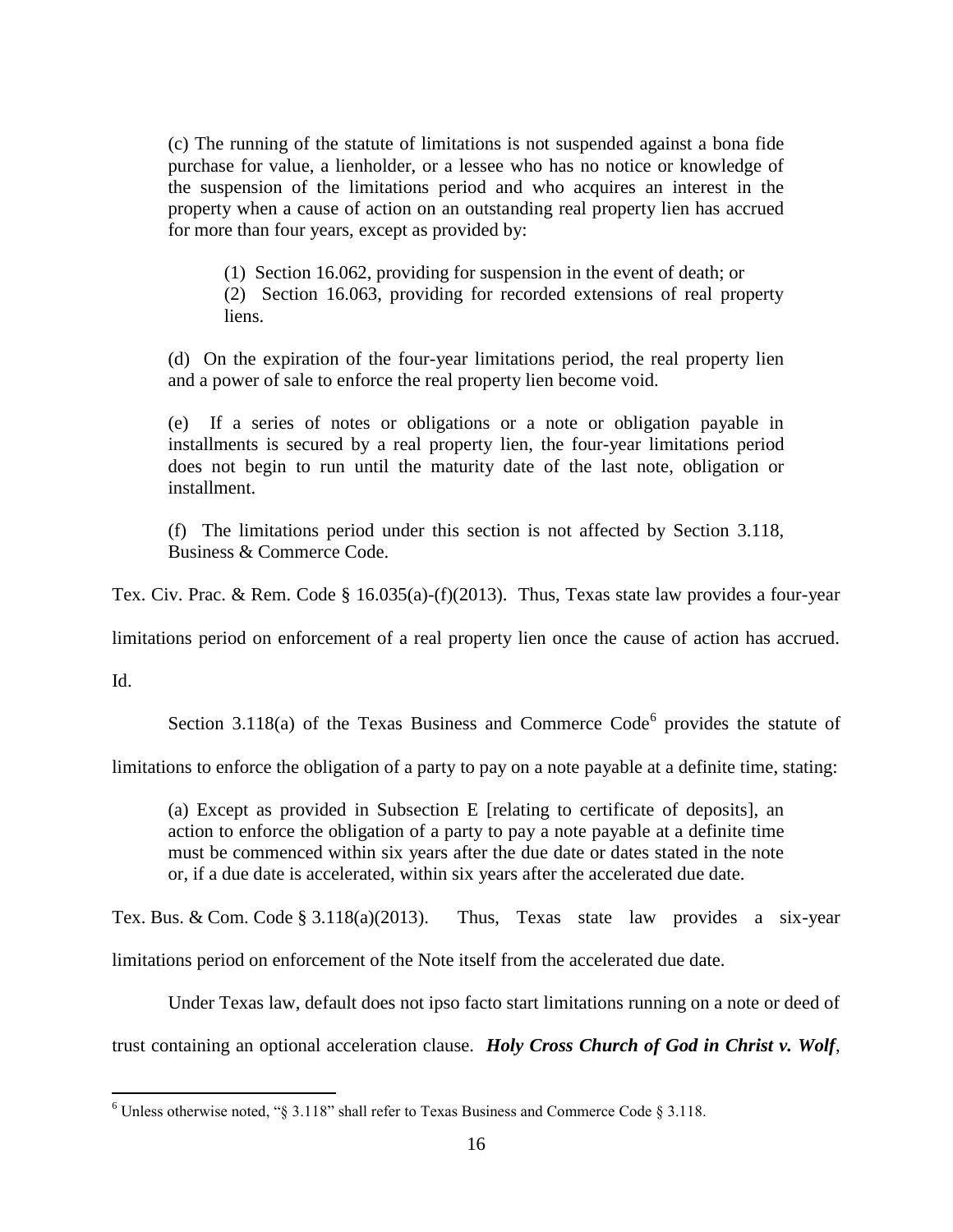(c) The running of the statute of limitations is not suspended against a bona fide purchase for value, a lienholder, or a lessee who has no notice or knowledge of the suspension of the limitations period and who acquires an interest in the property when a cause of action on an outstanding real property lien has accrued for more than four years, except as provided by:

(1) Section 16.062, providing for suspension in the event of death; or (2) Section 16.063, providing for recorded extensions of real property

liens.

(d) On the expiration of the four-year limitations period, the real property lien and a power of sale to enforce the real property lien become void.

(e) If a series of notes or obligations or a note or obligation payable in installments is secured by a real property lien, the four-year limitations period does not begin to run until the maturity date of the last note, obligation or installment.

(f) The limitations period under this section is not affected by Section 3.118, Business & Commerce Code.

Tex. Civ. Prac. & Rem. Code § 16.035(a)-(f)(2013). Thus, Texas state law provides a four-year

limitations period on enforcement of a real property lien once the cause of action has accrued.

Id.

 $\overline{a}$ 

Section 3.118(a) of the Texas Business and Commerce Code $<sup>6</sup>$  provides the statute of</sup>

limitations to enforce the obligation of a party to pay on a note payable at a definite time, stating:

(a) Except as provided in Subsection E [relating to certificate of deposits], an action to enforce the obligation of a party to pay a note payable at a definite time must be commenced within six years after the due date or dates stated in the note or, if a due date is accelerated, within six years after the accelerated due date.

Tex. Bus. & Com. Code § 3.118(a)(2013). Thus, Texas state law provides a six-year

limitations period on enforcement of the Note itself from the accelerated due date.

Under Texas law, default does not ipso facto start limitations running on a note or deed of

trust containing an optional acceleration clause. *Holy Cross Church of God in Christ v. Wolf*,

 $6$  Unless otherwise noted, "§ 3.118" shall refer to Texas Business and Commerce Code § 3.118.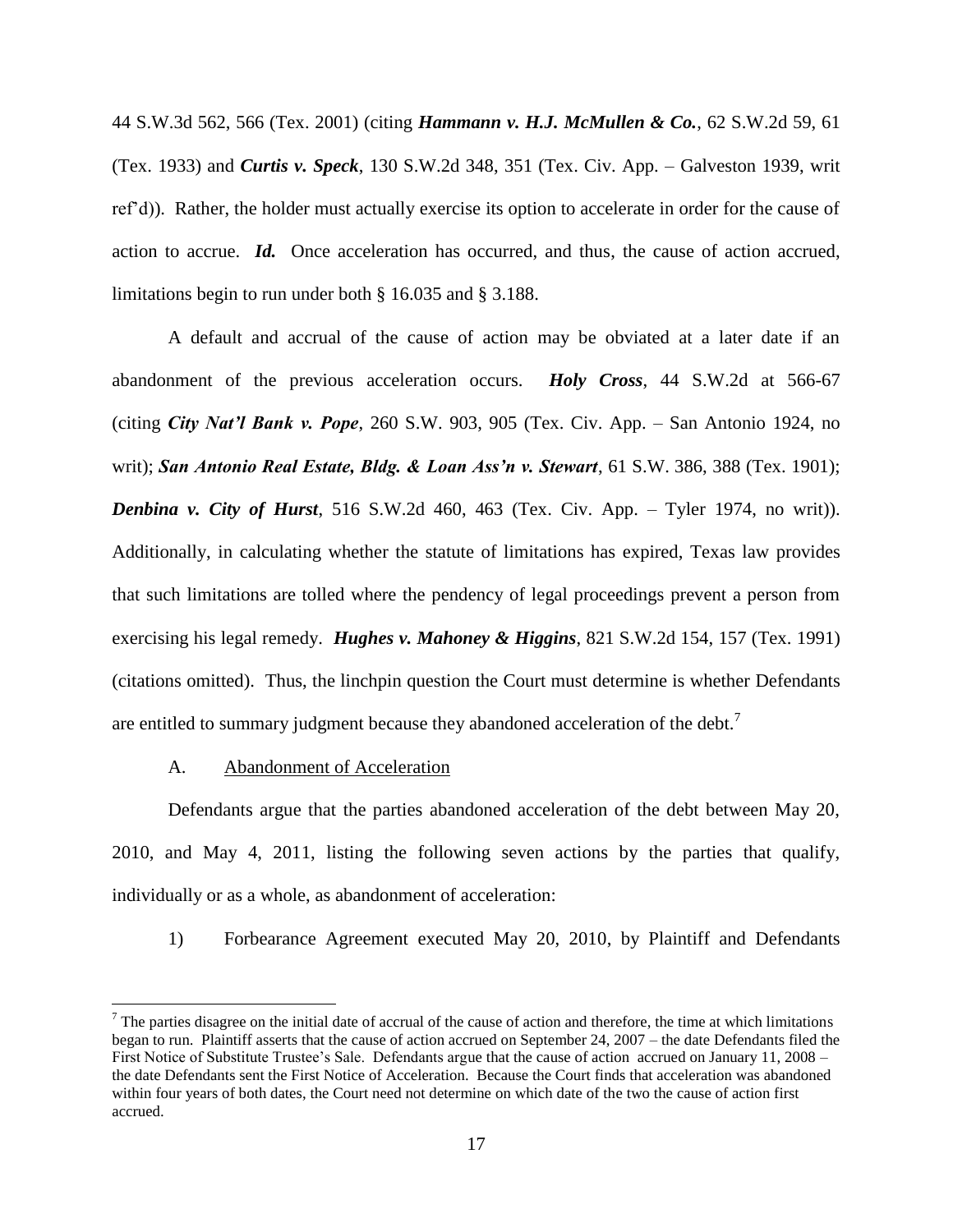44 S.W.3d 562, 566 (Tex. 2001) (citing *Hammann v. H.J. McMullen & Co.*, 62 S.W.2d 59, 61 (Tex. 1933) and *Curtis v. Speck*, 130 S.W.2d 348, 351 (Tex. Civ. App. – Galveston 1939, writ ref'd)). Rather, the holder must actually exercise its option to accelerate in order for the cause of action to accrue. *Id.* Once acceleration has occurred, and thus, the cause of action accrued, limitations begin to run under both § 16.035 and § 3.188.

A default and accrual of the cause of action may be obviated at a later date if an abandonment of the previous acceleration occurs. *Holy Cross*, 44 S.W.2d at 566-67 (citing *City Nat'l Bank v. Pope*, 260 S.W. 903, 905 (Tex. Civ. App. – San Antonio 1924, no writ); *San Antonio Real Estate, Bldg. & Loan Ass'n v. Stewart*, 61 S.W. 386, 388 (Tex. 1901); *Denbina v. City of Hurst*, 516 S.W.2d 460, 463 (Tex. Civ. App. – Tyler 1974, no writ)). Additionally, in calculating whether the statute of limitations has expired, Texas law provides that such limitations are tolled where the pendency of legal proceedings prevent a person from exercising his legal remedy. *Hughes v. Mahoney & Higgins*, 821 S.W.2d 154, 157 (Tex. 1991) (citations omitted). Thus, the linchpin question the Court must determine is whether Defendants are entitled to summary judgment because they abandoned acceleration of the debt.<sup>7</sup>

## A. Abandonment of Acceleration

 $\overline{a}$ 

Defendants argue that the parties abandoned acceleration of the debt between May 20, 2010, and May 4, 2011, listing the following seven actions by the parties that qualify, individually or as a whole, as abandonment of acceleration:

1) Forbearance Agreement executed May 20, 2010, by Plaintiff and Defendants

 $<sup>7</sup>$  The parties disagree on the initial date of accrual of the cause of action and therefore, the time at which limitations</sup> began to run. Plaintiff asserts that the cause of action accrued on September 24, 2007 – the date Defendants filed the First Notice of Substitute Trustee's Sale. Defendants argue that the cause of action accrued on January 11, 2008 – the date Defendants sent the First Notice of Acceleration. Because the Court finds that acceleration was abandoned within four years of both dates, the Court need not determine on which date of the two the cause of action first accrued.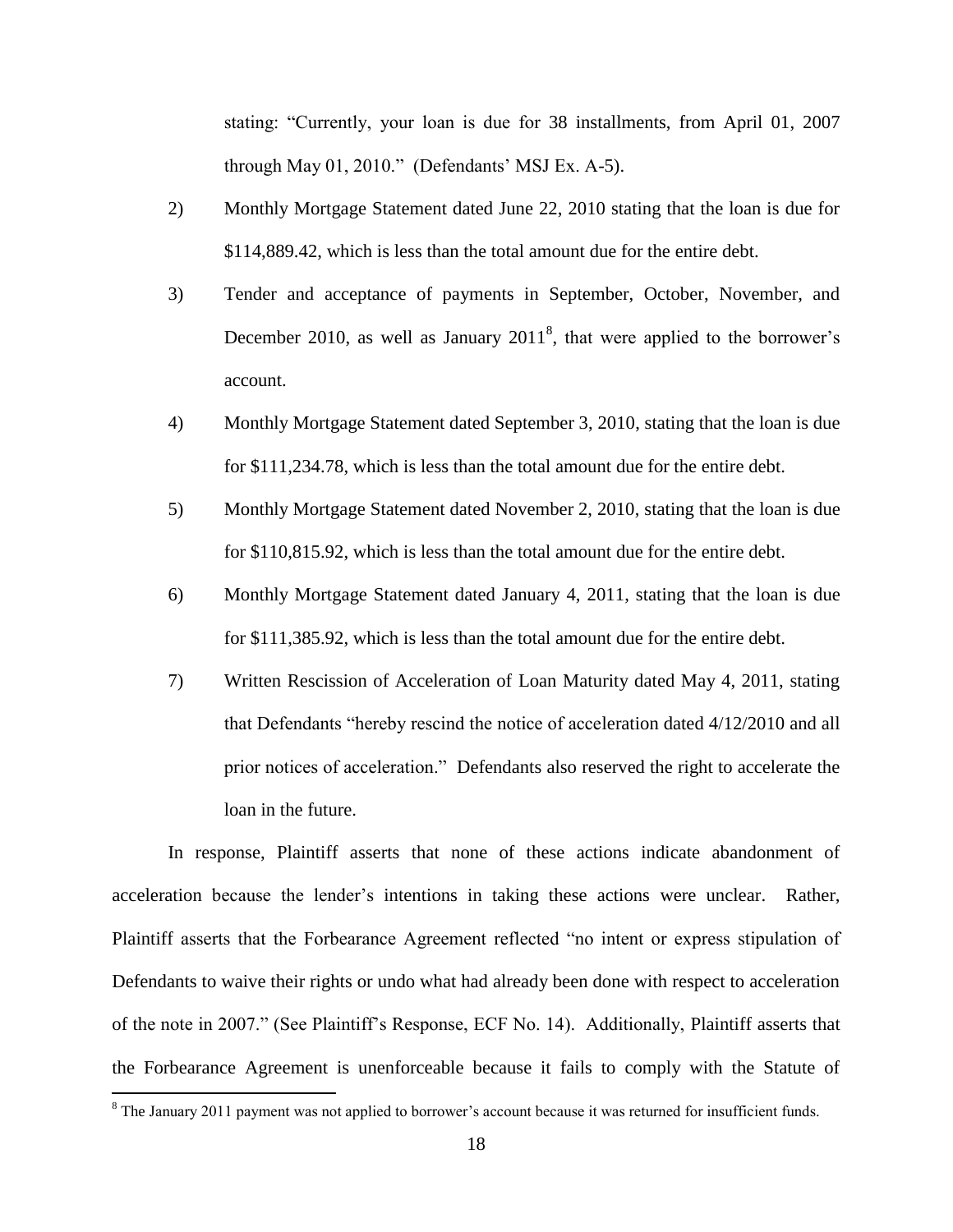stating: "Currently, your loan is due for 38 installments, from April 01, 2007 through May 01, 2010." (Defendants' MSJ Ex. A-5).

- 2) Monthly Mortgage Statement dated June 22, 2010 stating that the loan is due for \$114,889.42, which is less than the total amount due for the entire debt.
- 3) Tender and acceptance of payments in September, October, November, and December 2010, as well as January  $2011<sup>8</sup>$ , that were applied to the borrower's account.
- 4) Monthly Mortgage Statement dated September 3, 2010, stating that the loan is due for \$111,234.78, which is less than the total amount due for the entire debt.
- 5) Monthly Mortgage Statement dated November 2, 2010, stating that the loan is due for \$110,815.92, which is less than the total amount due for the entire debt.
- 6) Monthly Mortgage Statement dated January 4, 2011, stating that the loan is due for \$111,385.92, which is less than the total amount due for the entire debt.
- 7) Written Rescission of Acceleration of Loan Maturity dated May 4, 2011, stating that Defendants "hereby rescind the notice of acceleration dated 4/12/2010 and all prior notices of acceleration." Defendants also reserved the right to accelerate the loan in the future.

In response, Plaintiff asserts that none of these actions indicate abandonment of acceleration because the lender's intentions in taking these actions were unclear. Rather, Plaintiff asserts that the Forbearance Agreement reflected "no intent or express stipulation of Defendants to waive their rights or undo what had already been done with respect to acceleration of the note in 2007." (See Plaintiff's Response, ECF No. 14). Additionally, Plaintiff asserts that the Forbearance Agreement is unenforceable because it fails to comply with the Statute of

 $\overline{a}$ 

<sup>&</sup>lt;sup>8</sup> The January 2011 payment was not applied to borrower's account because it was returned for insufficient funds.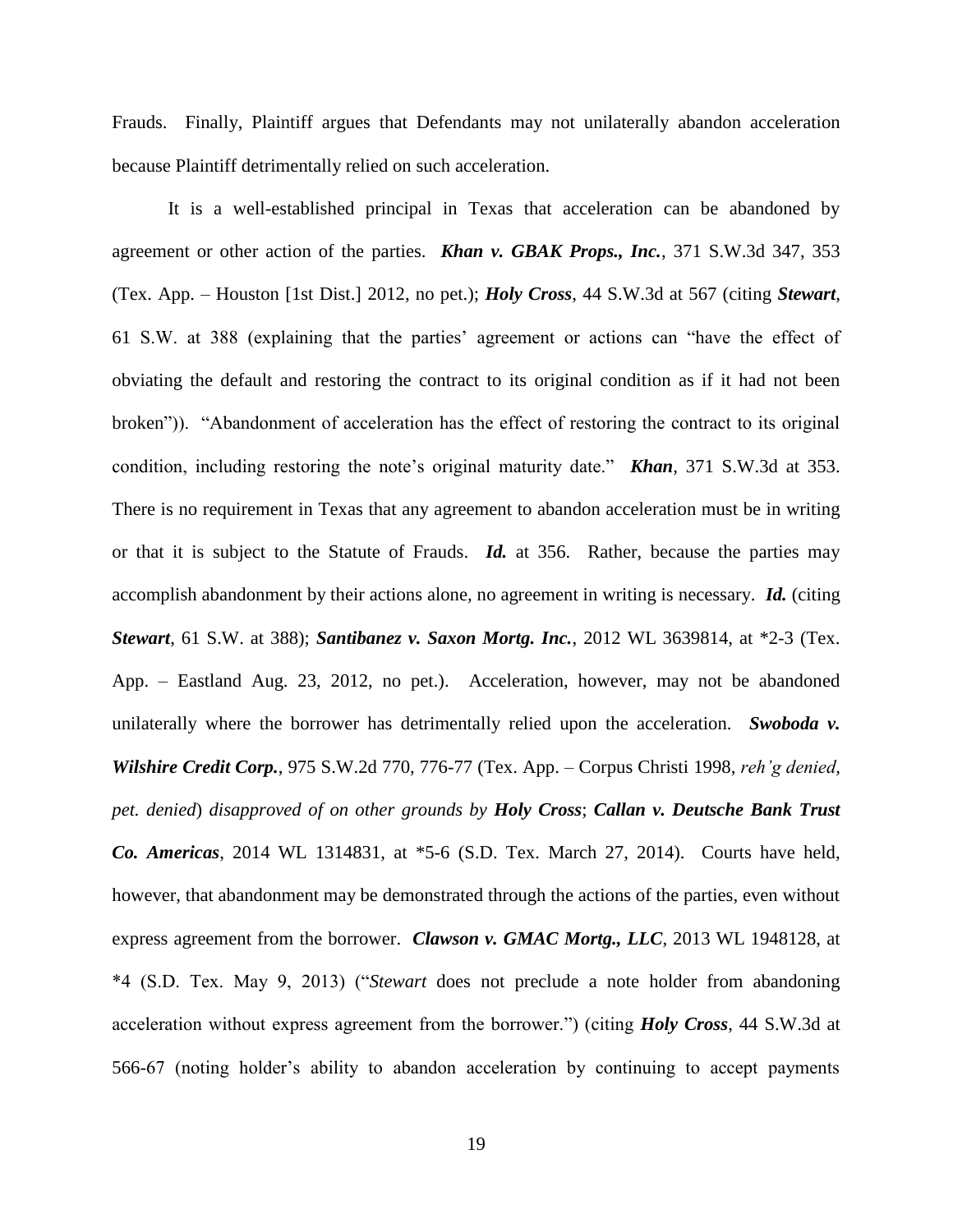Frauds. Finally, Plaintiff argues that Defendants may not unilaterally abandon acceleration because Plaintiff detrimentally relied on such acceleration.

It is a well-established principal in Texas that acceleration can be abandoned by agreement or other action of the parties. *Khan v. GBAK Props., Inc.*, 371 S.W.3d 347, 353 (Tex. App. – Houston [1st Dist.] 2012, no pet.); *Holy Cross*, 44 S.W.3d at 567 (citing *Stewart*, 61 S.W. at 388 (explaining that the parties' agreement or actions can "have the effect of obviating the default and restoring the contract to its original condition as if it had not been broken")). "Abandonment of acceleration has the effect of restoring the contract to its original condition, including restoring the note's original maturity date." *Khan*, 371 S.W.3d at 353. There is no requirement in Texas that any agreement to abandon acceleration must be in writing or that it is subject to the Statute of Frauds. *Id.* at 356. Rather, because the parties may accomplish abandonment by their actions alone, no agreement in writing is necessary. *Id.* (citing *Stewart*, 61 S.W. at 388); *Santibanez v. Saxon Mortg. Inc.*, 2012 WL 3639814, at \*2-3 (Tex. App. – Eastland Aug. 23, 2012, no pet.). Acceleration, however, may not be abandoned unilaterally where the borrower has detrimentally relied upon the acceleration. *Swoboda v. Wilshire Credit Corp.*, 975 S.W.2d 770, 776-77 (Tex. App. – Corpus Christi 1998, *reh'g denied, pet. denied*) *disapproved of on other grounds by Holy Cross*; *Callan v. Deutsche Bank Trust Co. Americas*, 2014 WL 1314831, at \*5-6 (S.D. Tex. March 27, 2014). Courts have held, however, that abandonment may be demonstrated through the actions of the parties, even without express agreement from the borrower. *Clawson v. GMAC Mortg., LLC*, 2013 WL 1948128, at \*4 (S.D. Tex. May 9, 2013) ("*Stewart* does not preclude a note holder from abandoning acceleration without express agreement from the borrower.") (citing *Holy Cross*, 44 S.W.3d at 566-67 (noting holder's ability to abandon acceleration by continuing to accept payments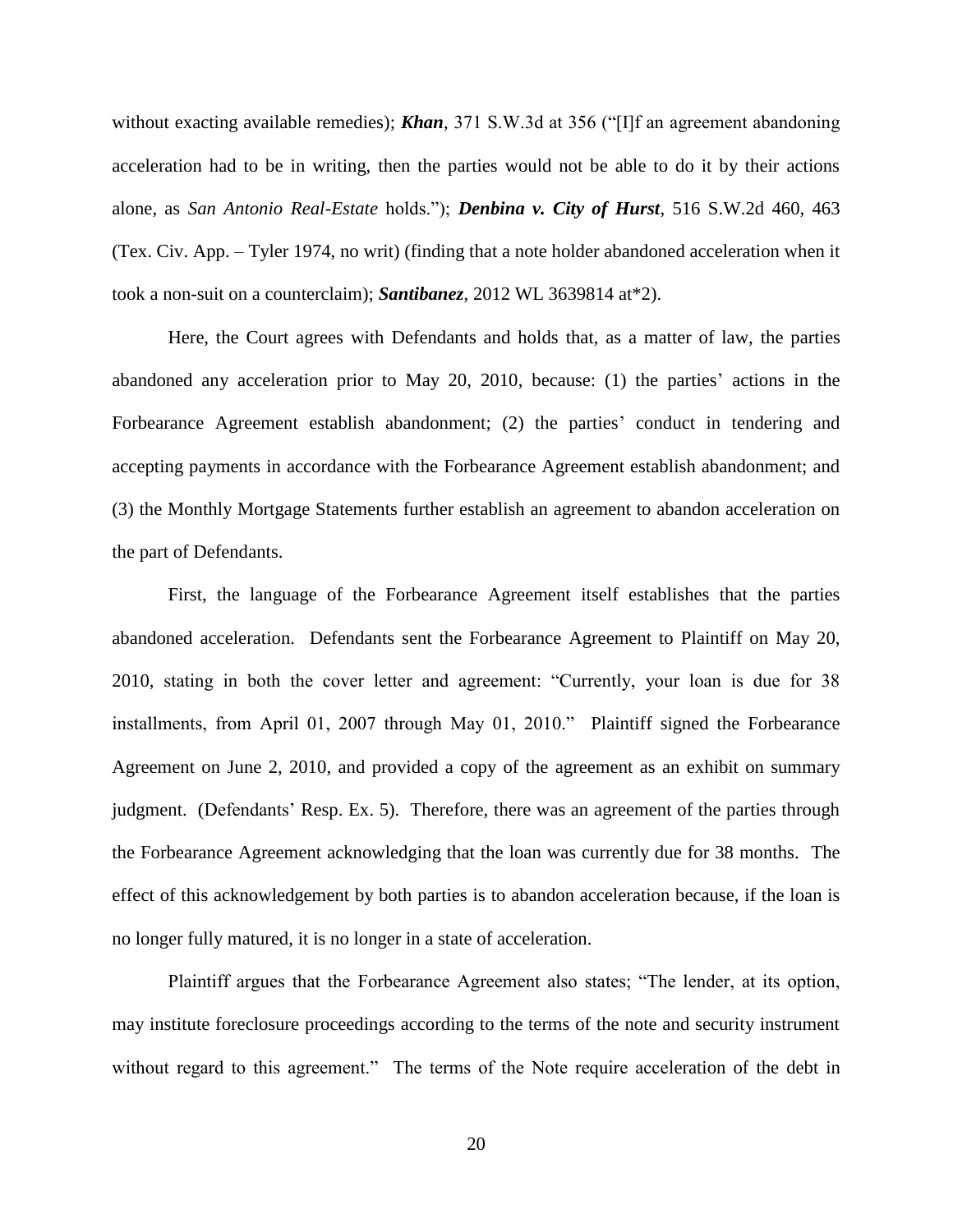without exacting available remedies); **Khan**, 371 S.W.3d at 356 ("[I]f an agreement abandoning acceleration had to be in writing, then the parties would not be able to do it by their actions alone, as *San Antonio Real-Estate* holds."); *Denbina v. City of Hurst*, 516 S.W.2d 460, 463 (Tex. Civ. App. – Tyler 1974, no writ) (finding that a note holder abandoned acceleration when it took a non-suit on a counterclaim); *Santibanez*, 2012 WL 3639814 at\*2).

Here, the Court agrees with Defendants and holds that, as a matter of law, the parties abandoned any acceleration prior to May 20, 2010, because: (1) the parties' actions in the Forbearance Agreement establish abandonment; (2) the parties' conduct in tendering and accepting payments in accordance with the Forbearance Agreement establish abandonment; and (3) the Monthly Mortgage Statements further establish an agreement to abandon acceleration on the part of Defendants.

First, the language of the Forbearance Agreement itself establishes that the parties abandoned acceleration. Defendants sent the Forbearance Agreement to Plaintiff on May 20, 2010, stating in both the cover letter and agreement: "Currently, your loan is due for 38 installments, from April 01, 2007 through May 01, 2010." Plaintiff signed the Forbearance Agreement on June 2, 2010, and provided a copy of the agreement as an exhibit on summary judgment. (Defendants' Resp. Ex. 5). Therefore, there was an agreement of the parties through the Forbearance Agreement acknowledging that the loan was currently due for 38 months. The effect of this acknowledgement by both parties is to abandon acceleration because, if the loan is no longer fully matured, it is no longer in a state of acceleration.

Plaintiff argues that the Forbearance Agreement also states; "The lender, at its option, may institute foreclosure proceedings according to the terms of the note and security instrument without regard to this agreement." The terms of the Note require acceleration of the debt in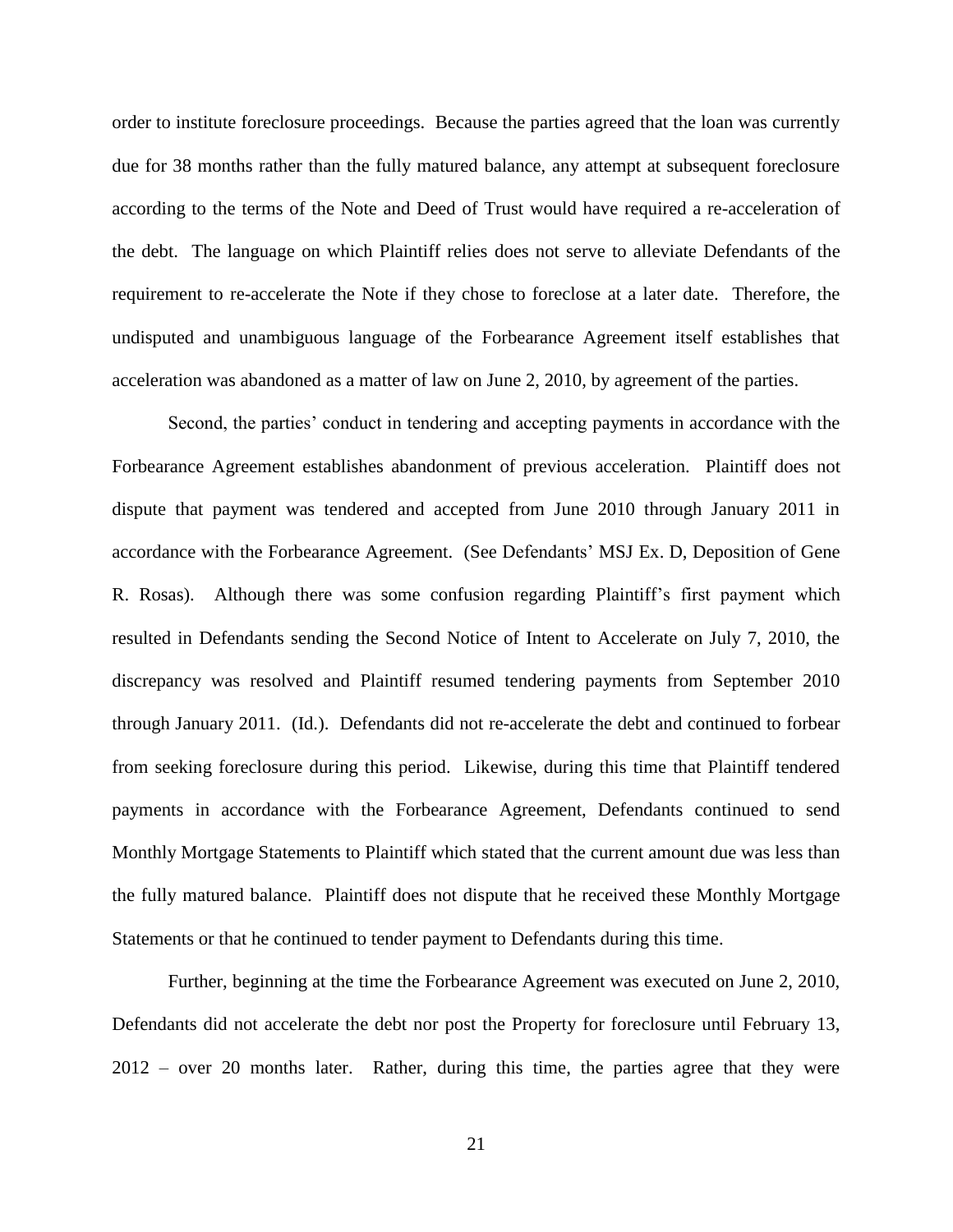order to institute foreclosure proceedings. Because the parties agreed that the loan was currently due for 38 months rather than the fully matured balance, any attempt at subsequent foreclosure according to the terms of the Note and Deed of Trust would have required a re-acceleration of the debt. The language on which Plaintiff relies does not serve to alleviate Defendants of the requirement to re-accelerate the Note if they chose to foreclose at a later date. Therefore, the undisputed and unambiguous language of the Forbearance Agreement itself establishes that acceleration was abandoned as a matter of law on June 2, 2010, by agreement of the parties.

Second, the parties' conduct in tendering and accepting payments in accordance with the Forbearance Agreement establishes abandonment of previous acceleration. Plaintiff does not dispute that payment was tendered and accepted from June 2010 through January 2011 in accordance with the Forbearance Agreement. (See Defendants' MSJ Ex. D, Deposition of Gene R. Rosas). Although there was some confusion regarding Plaintiff's first payment which resulted in Defendants sending the Second Notice of Intent to Accelerate on July 7, 2010, the discrepancy was resolved and Plaintiff resumed tendering payments from September 2010 through January 2011. (Id.). Defendants did not re-accelerate the debt and continued to forbear from seeking foreclosure during this period. Likewise, during this time that Plaintiff tendered payments in accordance with the Forbearance Agreement, Defendants continued to send Monthly Mortgage Statements to Plaintiff which stated that the current amount due was less than the fully matured balance. Plaintiff does not dispute that he received these Monthly Mortgage Statements or that he continued to tender payment to Defendants during this time.

Further, beginning at the time the Forbearance Agreement was executed on June 2, 2010, Defendants did not accelerate the debt nor post the Property for foreclosure until February 13, 2012 – over 20 months later. Rather, during this time, the parties agree that they were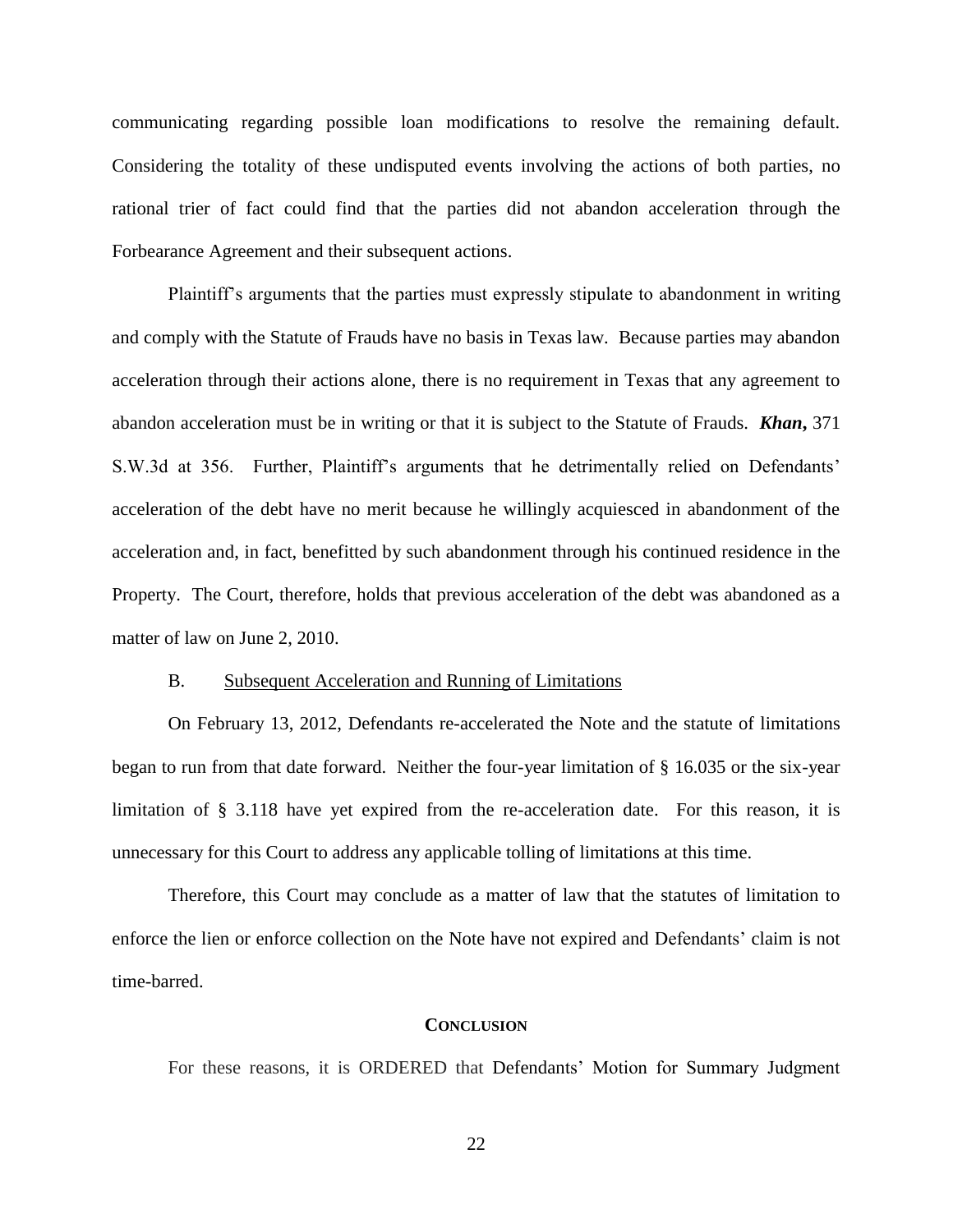communicating regarding possible loan modifications to resolve the remaining default. Considering the totality of these undisputed events involving the actions of both parties, no rational trier of fact could find that the parties did not abandon acceleration through the Forbearance Agreement and their subsequent actions.

Plaintiff's arguments that the parties must expressly stipulate to abandonment in writing and comply with the Statute of Frauds have no basis in Texas law. Because parties may abandon acceleration through their actions alone, there is no requirement in Texas that any agreement to abandon acceleration must be in writing or that it is subject to the Statute of Frauds. *Khan***,** 371 S.W.3d at 356. Further, Plaintiff's arguments that he detrimentally relied on Defendants' acceleration of the debt have no merit because he willingly acquiesced in abandonment of the acceleration and, in fact, benefitted by such abandonment through his continued residence in the Property. The Court, therefore, holds that previous acceleration of the debt was abandoned as a matter of law on June 2, 2010.

#### B. Subsequent Acceleration and Running of Limitations

On February 13, 2012, Defendants re-accelerated the Note and the statute of limitations began to run from that date forward. Neither the four-year limitation of § 16.035 or the six-year limitation of § 3.118 have yet expired from the re-acceleration date. For this reason, it is unnecessary for this Court to address any applicable tolling of limitations at this time.

Therefore, this Court may conclude as a matter of law that the statutes of limitation to enforce the lien or enforce collection on the Note have not expired and Defendants' claim is not time-barred.

#### **CONCLUSION**

For these reasons, it is ORDERED that Defendants' Motion for Summary Judgment